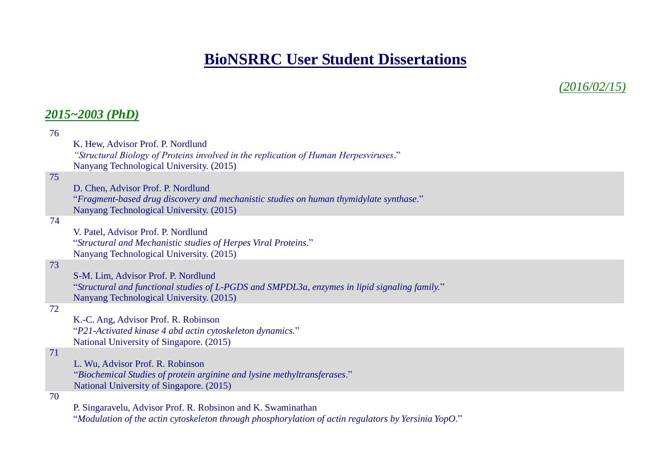# **BioNSRRC User Student Dissertations**

*(2016/02/15)*

# *2015~2003 (PhD)*

| 76 |                                                                                               |
|----|-----------------------------------------------------------------------------------------------|
|    | K. Hew, Advisor Prof. P. Nordlund                                                             |
|    | "Structural Biology of Proteins involved in the replication of Human Herpesviruses."          |
|    | Nanyang Technological University. (2015)                                                      |
| 75 |                                                                                               |
|    | D. Chen, Advisor Prof. P. Nordlund                                                            |
|    | "Fragment-based drug discovery and mechanistic studies on human thymidylate synthase."        |
|    |                                                                                               |
|    | Nanyang Technological University. (2015)                                                      |
| 74 |                                                                                               |
|    | V. Patel, Advisor Prof. P. Nordlund                                                           |
|    | "Structural and Mechanistic studies of Herpes Viral Proteins."                                |
|    | Nanyang Technological University. (2015)                                                      |
| 73 |                                                                                               |
|    | S-M. Lim, Advisor Prof. P. Nordlund                                                           |
|    | "Structural and functional studies of L-PGDS and SMPDL3a, enzymes in lipid signaling family." |
|    | Nanyang Technological University. (2015)                                                      |
| 72 |                                                                                               |
|    | K.-C. Ang, Advisor Prof. R. Robinson                                                          |
|    | "P21-Activated kinase 4 abd actin cytoskeleton dynamics."                                     |
|    | National University of Singapore. (2015)                                                      |
| 71 |                                                                                               |
|    | L. Wu, Advisor Prof. R. Robinson                                                              |
|    | "Biochemical Studies of protein arginine and lysine methyltransferases."                      |
|    | National University of Singapore. (2015)                                                      |
| 70 |                                                                                               |
|    |                                                                                               |
|    | P. Singaravelu, Advisor Prof. R. Robsinon and K. Swaminathan                                  |

"*Modulation of the actin cytoskeleton through phosphorylation of actin regulators by Yersinia YopO*."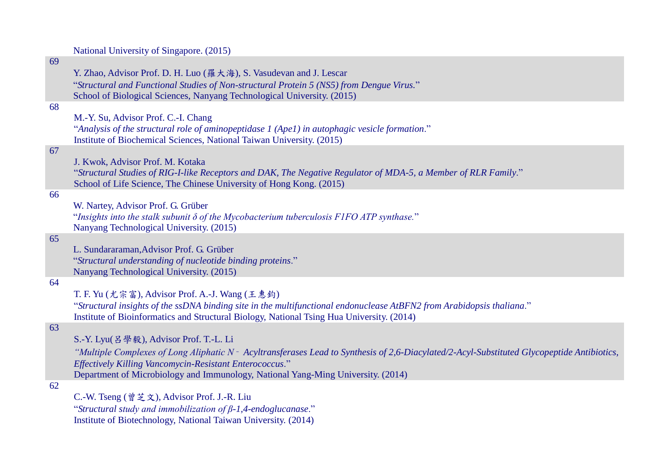#### National University of Singapore. (2015)

# 69

Y. Zhao, Advisor Prof. D. H. Luo (羅大海), S. Vasudevan and J. Lescar "*Structural and Functional Studies of Non-structural Protein 5 (NS5) from Dengue Virus.*" School of Biological Sciences, Nanyang Technological University. (2015)

#### 68

M.-Y. Su, Advisor Prof. C.-I. Chang "*Analysis of the structural role of aminopeptidase 1 (Ape1) in autophagic vesicle formation*." Institute of Biochemical Sciences, National Taiwan University. (2015)

#### 67

J. Kwok, Advisor Prof. M. Kotaka "*Structural Studies of RIG-I-like Receptors and DAK, The Negative Regulator of MDA-5, a Member of RLR Family*." School of Life Science, The Chinese University of Hong Kong. (2015)

#### 66

W. Nartey, Advisor Prof. G. Grüber

"*Insights into the stalk subunit δ of the Mycobacterium tuberculosis F1FO ATP synthase.*" Nanyang Technological University. (2015)

#### 65

L. Sundararaman,Advisor Prof. G. Grüber "*Structural understanding of nucleotide binding proteins*." Nanyang Technological University. (2015)

#### 64

T. F. Yu (尤宗富), Advisor Prof. A.-J. Wang (王惠鈞)

"*Structural insights of the ssDNA binding site in the multifunctional endonuclease AtBFN2 from Arabidopsis thaliana*." Institute of Bioinformatics and Structural Biology, National Tsing Hua University. (2014)

# 63

S.-Y. Lyu(呂學毅), Advisor Prof. T.-L. Li

*"Multiple Complexes of Long Aliphatic N*‑ *Acyltransferases Lead to Synthesis of 2,6-Diacylated/2-Acyl-Substituted Glycopeptide Antibiotics, Effectively Killing Vancomycin-Resistant Enterococcus*." Department of Microbiology and Immunology, National Yang-Ming University. (2014)

#### 62

C.-W. Tseng (曾芝文), Advisor Prof. J.-R. Liu

"*Structural study and immobilization of β-1,4-endoglucanase*." Institute of Biotechnology, National Taiwan University. (2014)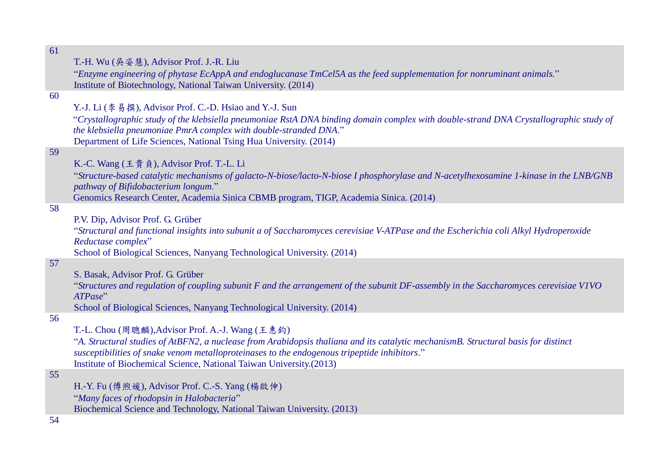| 61 |                                                                                                                                       |
|----|---------------------------------------------------------------------------------------------------------------------------------------|
|    | T.-H. Wu (吳姿慧), Advisor Prof. J.-R. Liu                                                                                               |
|    | "Enzyme engineering of phytase EcAppA and endoglucanase TmCel5A as the feed supplementation for nonruminant animals."                 |
|    | Institute of Biotechnology, National Taiwan University. (2014)                                                                        |
| 60 |                                                                                                                                       |
|    |                                                                                                                                       |
|    | Y.-J. Li (李易撰), Advisor Prof. C.-D. Hsiao and Y.-J. Sun                                                                               |
|    | "Crystallographic study of the klebsiella pneumoniae RstA DNA binding domain complex with double-strand DNA Crystallographic study of |
|    | the klebsiella pneumoniae PmrA complex with double-stranded DNA."                                                                     |
|    | Department of Life Sciences, National Tsing Hua University. (2014)                                                                    |
| 59 |                                                                                                                                       |
|    | K.-C. Wang (王貴貞), Advisor Prof. T.-L. Li                                                                                              |
|    | "Structure-based catalytic mechanisms of galacto-N-biose/lacto-N-biose I phosphorylase and N-acetylhexosamine 1-kinase in the LNB/GNB |
|    | pathway of Bifidobacterium longum."                                                                                                   |
|    | Genomics Research Center, Academia Sinica CBMB program, TIGP, Academia Sinica. (2014)                                                 |
| 58 |                                                                                                                                       |
|    | P.V. Dip, Advisor Prof. G. Grüber                                                                                                     |
|    | "Structural and functional insights into subunit a of Saccharomyces cerevisiae V-ATPase and the Escherichia coli Alkyl Hydroperoxide  |
|    | Reductase complex"                                                                                                                    |
|    | School of Biological Sciences, Nanyang Technological University. (2014)                                                               |
| 57 |                                                                                                                                       |
|    | S. Basak, Advisor Prof. G. Grüber                                                                                                     |
|    | "Structures and regulation of coupling subunit F and the arrangement of the subunit DF-assembly in the Saccharomyces cerevisiae VIVO  |
|    | ATPase"                                                                                                                               |
|    | School of Biological Sciences, Nanyang Technological University. (2014)                                                               |
| 56 |                                                                                                                                       |
|    | T.-L. Chou (周聰麟), Advisor Prof. A.-J. Wang (王惠鈞)                                                                                      |
|    | "A. Structural studies of AtBFN2, a nuclease from Arabidopsis thaliana and its catalytic mechanismB. Structural basis for distinct    |
|    | susceptibilities of snake venom metalloproteinases to the endogenous tripeptide inhibitors."                                          |
|    | Institute of Biochemical Science, National Taiwan University.(2013)                                                                   |
| 55 |                                                                                                                                       |
|    | H.-Y. Fu (傅煦媛), Advisor Prof. C.-S. Yang (楊啟伸)                                                                                        |
|    | "Many faces of rhodopsin in Halobacteria"                                                                                             |
|    |                                                                                                                                       |
|    | Biochemical Science and Technology, National Taiwan University. (2013)                                                                |
| 54 |                                                                                                                                       |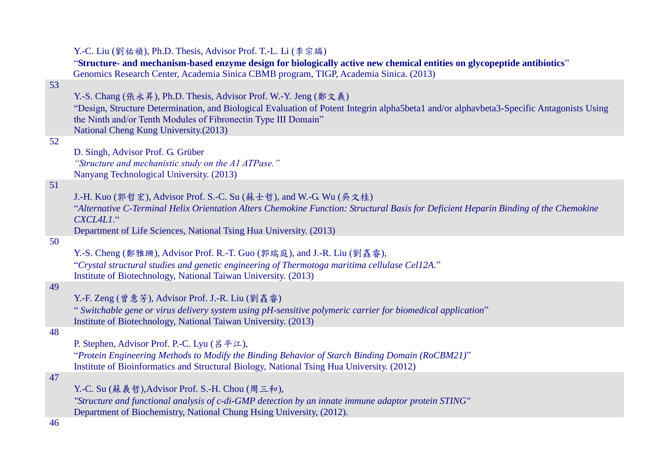|    | Y.-C. Liu (劉祐禎), Ph.D. Thesis, Advisor Prof. T.-L. Li (李宗璘)                                                                                                                                                 |
|----|-------------------------------------------------------------------------------------------------------------------------------------------------------------------------------------------------------------|
|    | "Structure- and mechanism-based enzyme design for biologically active new chemical entities on glycopeptide antibiotics"                                                                                    |
|    | Genomics Research Center, Academia Sinica CBMB program, TIGP, Academia Sinica. (2013)                                                                                                                       |
| 53 |                                                                                                                                                                                                             |
|    | Y.-S. Chang (張永昇), Ph.D. Thesis, Advisor Prof. W.-Y. Jeng (鄭文義)<br>"Design, Structure Determination, and Biological Evaluation of Potent Integrin alpha5beta1 and/or alphavbeta3-Specific Antagonists Using |
|    | the Ninth and/or Tenth Modules of Fibronectin Type III Domain"                                                                                                                                              |
|    | National Cheng Kung University.(2013)                                                                                                                                                                       |
| 52 |                                                                                                                                                                                                             |
|    | D. Singh, Advisor Prof. G. Grüber                                                                                                                                                                           |
|    | "Structure and mechanistic study on the A1 ATPase."<br>Nanyang Technological University. (2013)                                                                                                             |
| 51 |                                                                                                                                                                                                             |
|    | J.-H. Kuo (郭哲宏), Advisor Prof. S.-C. Su (蘇士哲), and W.-G. Wu (吳文桂)                                                                                                                                           |
|    | "Alternative C-Terminal Helix Orientation Alters Chemokine Function: Structural Basis for Deficient Heparin Binding of the Chemokine                                                                        |
|    | CXCL4L1."                                                                                                                                                                                                   |
| 50 | Department of Life Sciences, National Tsing Hua University. (2013)                                                                                                                                          |
|    | Y.-S. Cheng (鄭雅珊), Advisor Prof. R.-T. Guo (郭瑞庭), and J.-R. Liu (劉嚞睿),                                                                                                                                      |
|    | "Crystal structural studies and genetic engineering of Thermotoga maritima cellulase Cel12A."                                                                                                               |
|    | Institute of Biotechnology, National Taiwan University. (2013)                                                                                                                                              |
| 49 |                                                                                                                                                                                                             |
|    | Y.-F. Zeng (曾意芳), Advisor Prof. J.-R. Liu (劉嘉睿)                                                                                                                                                             |
|    | "Switchable gene or virus delivery system using pH-sensitive polymeric carrier for biomedical application"<br>Institute of Biotechnology, National Taiwan University. (2013)                                |
| 48 |                                                                                                                                                                                                             |
|    | P. Stephen, Advisor Prof. P.-C. Lyu (呂平江),                                                                                                                                                                  |
|    | "Protein Engineering Methods to Modify the Binding Behavior of Starch Binding Domain (RoCBM21)"                                                                                                             |
|    | Institute of Bioinformatics and Structural Biology, National Tsing Hua University. (2012)                                                                                                                   |
| 47 |                                                                                                                                                                                                             |
|    | Y.-C. Su (蘇義哲), Advisor Prof. S.-H. Chou (周三和),<br>"Structure and functional analysis of c-di-GMP detection by an innate immune adaptor protein STING"                                                      |
|    | Department of Biochemistry, National Chung Hsing University, (2012).                                                                                                                                        |
| 46 |                                                                                                                                                                                                             |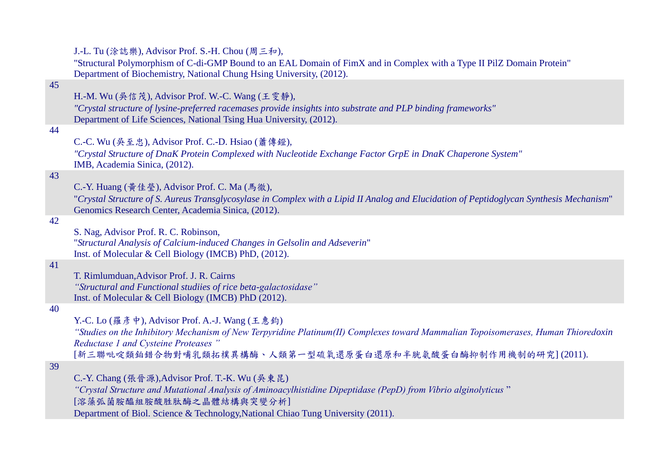J.-L. Tu (涂誌樂), Advisor Prof. S.-H. Chou (周三和),

"Structural Polymorphism of C-di-GMP Bound to an EAL Domain of FimX and in Complex with a Type II PilZ Domain Protein" Department of Biochemistry, National Chung Hsing University, (2012).

# 45

H.-M. Wu (吳信茂), Advisor Prof. W.-C. Wang (王雯靜),

*"Crystal structure of lysine-preferred racemases provide insights into substrate and PLP binding frameworks"* Department of Life Sciences, National Tsing Hua University, (2012).

#### 44

C.-C. Wu (吳至忠), Advisor Prof. C.-D. Hsiao (蕭傳鐙),

*"Crystal Structure of DnaK Protein Complexed with Nucleotide Exchange Factor GrpE in DnaK Chaperone System"* IMB, Academia Sinica, (2012).

# 43

C.-Y. Huang (黃佳瑩), Advisor Prof. C. Ma (馬徹),

"*Crystal Structure of S. Aureus Transglycosylase in Complex with a Lipid II Analog and Elucidation of Peptidoglycan Synthesis Mechanism*" Genomics Research Center, Academia Sinica, (2012).

#### 42

S. Nag, Advisor Prof. R. C. Robinson, "*Structural Analysis of Calcium-induced Changes in Gelsolin and Adseverin*" Inst. of Molecular & Cell Biology (IMCB) PhD, (2012).

# 41

T. Rimlumduan,Advisor Prof. J. R. Cairns *"Structural and Functional studiies of rice beta-galactosidase"*  Inst. of Molecular & Cell Biology (IMCB) PhD (2012).

#### 40

Y.-C. Lo (羅彥中), Advisor Prof. A.-J. Wang (王惠鈞)

*"Studies on the Inhibitory Mechanism of New Terpyridine Platinum(II) Complexes toward Mammalian Topoisomerases, Human Thioredoxin Reductase 1 and Cysteine Proteases "*

[新三聯吡啶類鉑錯合物對哺乳類拓樸異構酶、人類第一型硫氧還原蛋白還原和半胱氨酸蛋白酶抑制作用機制的研究] (2011).

#### 39

C.-Y. Chang (張晉源),Advisor Prof. T.-K. Wu (吳東昆)

*"Crystal Structure and Mutational Analysis of Aminoacylhistidine Dipeptidase (PepD) from Vibrio alginolyticus* "

[溶藻弧菌胺醯組胺酸胜肽酶之晶體結構與突變分析]

Department of Biol. Science & Technology,National Chiao Tung University (2011).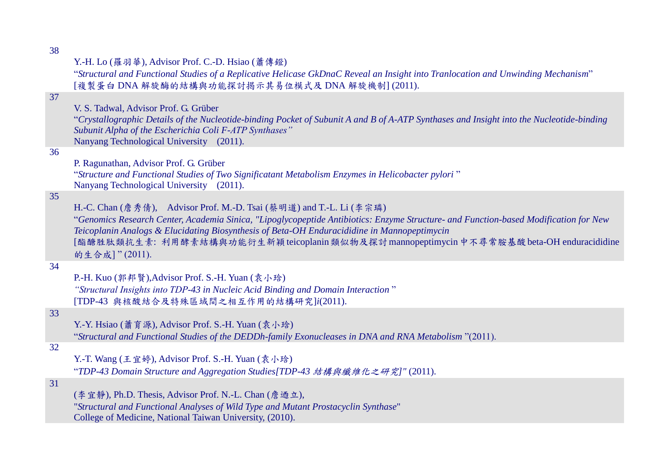|  |  | Y.-H. Lo (羅羽華), Advisor Prof. C.-D. Hsiao (蕭傳鐙) |  |  |  |  |  |
|--|--|-------------------------------------------------|--|--|--|--|--|
|--|--|-------------------------------------------------|--|--|--|--|--|

"*Structural and Functional Studies of a Replicative Helicase GkDnaC Reveal an Insight into Tranlocation and Unwinding Mechanism*" [複製蛋白 DNA 解旋酶的結構與功能探討揭示其易位模式及 DNA 解旋機制] (2011).

V. S. Tadwal, Advisor Prof. G. Grüber

"*Crystallographic Details of the Nucleotide-binding Pocket of Subunit A and B of A-ATP Synthases and Insight into the Nucleotide-binding Subunit Alpha of the Escherichia Coli F-ATP Synthases"* Nanyang Technological University (2011).

#### 36

P. Ragunathan, Advisor Prof. G. Grüber

"*Structure and Functional Studies of Two Significatant Metabolism Enzymes in Helicobacter pylori* " Nanyang Technological University (2011).

# 35

H.-C. Chan (詹秀倩), Advisor Prof. M.-D. Tsai (蔡明道) and T.-L. Li (李宗璘)

"*Genomics Research Center, Academia Sinica, "Lipoglycopeptide Antibiotics: Enzyme Structure- and Function-based Modification for New Teicoplanin Analogs & Elucidating Biosynthesis of Beta-OH Enduracididine in Mannopeptimycin* [酯醣胜肽類抗生素: 利用酵素結構與功能衍生新穎teicoplanin類似物及探討mannopeptimycin中不尋常胺基酸beta-OH enduracididine 的生合成] " (2011).

#### 34

P.-H. Kuo (郭邦賢),Advisor Prof. S.-H. Yuan (袁小琀) *"Structural Insights into TDP-43 in Nucleic Acid Binding and Domain Interaction* "

[TDP-43 與核酸結合及特殊區域間之相互作用的結構研究]*i*(2011).

# 33

Y.-Y. Hsiao (蕭育源), Advisor Prof. S.-H. Yuan (袁小琀)

"*Structural and Functional Studies of the DEDDh-family Exonucleases in DNA and RNA Metabolism* "(2011).

#### 32

Y.-T. Wang (王宜婷), Advisor Prof. S.-H. Yuan (袁小琀)

"*TDP-43 Domain Structure and Aggregation Studies[TDP-43* 結構與纖維化之研究*]"* (2011).

# 31

(李宜靜), Ph.D. Thesis, Advisor Prof. N.-L. Chan (詹迺立), "*Structural and Functional Analyses of Wild Type and Mutant Prostacyclin Synthase*" College of Medicine, National Taiwan University, (2010).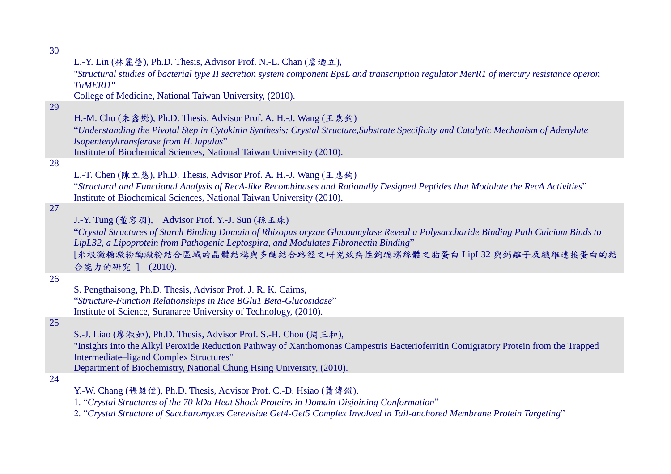29

28

27

26

25

| L.-Y. Lin (林麗瑩), Ph.D. Thesis, Advisor Prof. N.-L. Chan (詹迺立),<br>"Structural studies of bacterial type II secretion system component EpsL and transcription regulator MerR1 of mercury resistance operon<br>TnMERI1"<br>College of Medicine, National Taiwan University, (2010).                                                                                 |
|-------------------------------------------------------------------------------------------------------------------------------------------------------------------------------------------------------------------------------------------------------------------------------------------------------------------------------------------------------------------|
| H.-M. Chu (朱鑫懋), Ph.D. Thesis, Advisor Prof. A. H.-J. Wang (王惠鈞)<br>"Understanding the Pivotal Step in Cytokinin Synthesis: Crystal Structure, Substrate Specificity and Catalytic Mechanism of Adenylate<br>Isopentenyltransferase from H. lupulus"<br>Institute of Biochemical Sciences, National Taiwan University (2010).                                     |
| L.-T. Chen (陳立慈), Ph.D. Thesis, Advisor Prof. A. H.-J. Wang (王惠鈞)<br>"Structural and Functional Analysis of RecA-like Recombinases and Rationally Designed Peptides that Modulate the RecA Activities"<br>Institute of Biochemical Sciences, National Taiwan University (2010).                                                                                   |
| J.-Y. Tung (董容羽), Advisor Prof. Y.-J. Sun (孫玉珠)<br>"Crystal Structures of Starch Binding Domain of Rhizopus oryzae Glucoamylase Reveal a Polysaccharide Binding Path Calcium Binds to<br>LipL32, a Lipoprotein from Pathogenic Leptospira, and Modulates Fibronectin Binding"<br>[米根黴糖澱粉酶澱粉結合區域的晶體結構與多醣結合路徑之研究致病性鉤端螺絲體之脂蛋白LipL32與鈣離子及纖維連接蛋白的結<br>合能力的研究 ] (2010). |
| S. Pengthaisong, Ph.D. Thesis, Advisor Prof. J. R. K. Cairns,<br>"Structure-Function Relationships in Rice BGlu1 Beta-Glucosidase"<br>Institute of Science, Suranaree University of Technology, (2010).                                                                                                                                                           |
| S.-J. Liao (廖淑如), Ph.D. Thesis, Advisor Prof. S.-H. Chou (周三和),<br>"Insights into the Alkyl Peroxide Reduction Pathway of Xanthomonas Campestris Bacterioferritin Comigratory Protein from the Trapped<br>Intermediate-ligand Complex Structures"<br>Department of Biochemistry, National Chung Hsing University, (2010).                                         |
|                                                                                                                                                                                                                                                                                                                                                                   |

Y.-W. Chang (張毅偉), Ph.D. Thesis, Advisor Prof. C.-D. Hsiao (蕭傳鐙),

<sup>1. &</sup>quot;*Crystal Structures of the 70-kDa Heat Shock Proteins in Domain Disjoining Conformation*"

<sup>2. &</sup>quot;*Crystal Structure of Saccharomyces Cerevisiae Get4-Get5 Complex Involved in Tail-anchored Membrane Protein Targeting*"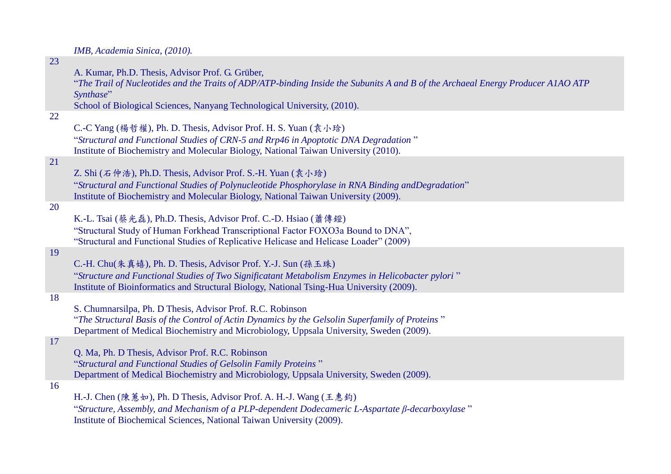*IMB, Academia Sinica, (2010).*

| 23 |                                                                                                                                                                                                                                                                               |
|----|-------------------------------------------------------------------------------------------------------------------------------------------------------------------------------------------------------------------------------------------------------------------------------|
|    | A. Kumar, Ph.D. Thesis, Advisor Prof. G. Grüber,<br>"The Trail of Nucleotides and the Traits of ADP/ATP-binding Inside the Subunits A and B of the Archaeal Energy Producer A1AO ATP<br>Synthase"<br>School of Biological Sciences, Nanyang Technological University, (2010). |
| 22 |                                                                                                                                                                                                                                                                               |
|    | C.-C Yang (楊哲權), Ph. D. Thesis, Advisor Prof. H. S. Yuan (袁小琀)<br>"Structural and Functional Studies of CRN-5 and Rrp46 in Apoptotic DNA Degradation"<br>Institute of Biochemistry and Molecular Biology, National Taiwan University (2010).                                  |
| 21 | Z. Shi (石仲浩), Ph.D. Thesis, Advisor Prof. S.-H. Yuan (袁小玲)<br>"Structural and Functional Studies of Polynucleotide Phosphorylase in RNA Binding andDegradation"<br>Institute of Biochemistry and Molecular Biology, National Taiwan University (2009).                        |
| 20 | K.-L. Tsai (蔡光磊), Ph.D. Thesis, Advisor Prof. C.-D. Hsiao (蕭傳鐙)<br>"Structural Study of Human Forkhead Transcriptional Factor FOXO3a Bound to DNA",<br>"Structural and Functional Studies of Replicative Helicase and Helicase Loader" (2009)                                 |
| 19 | C.-H. Chu(朱真嬉), Ph. D. Thesis, Advisor Prof. Y.-J. Sun (孫玉珠)<br>"Structure and Functional Studies of Two Significatant Metabolism Enzymes in Helicobacter pylori"<br>Institute of Bioinformatics and Structural Biology, National Tsing-Hua University (2009).                |
| 18 | S. Chumnarsilpa, Ph. D Thesis, Advisor Prof. R.C. Robinson<br>"The Structural Basis of the Control of Actin Dynamics by the Gelsolin Superfamily of Proteins"<br>Department of Medical Biochemistry and Microbiology, Uppsala University, Sweden (2009).                      |
| 17 | Q. Ma, Ph. D Thesis, Advisor Prof. R.C. Robinson<br>"Structural and Functional Studies of Gelsolin Family Proteins"<br>Department of Medical Biochemistry and Microbiology, Uppsala University, Sweden (2009).                                                                |
| 16 | H.-J. Chen (陳蕙如), Ph. D Thesis, Advisor Prof. A. H.-J. Wang (王惠鈞)<br>"Structure, Assembly, and Mechanism of a PLP-dependent Dodecameric L-Aspartate $\beta$ -decarboxylase"                                                                                                   |

Institute of Biochemical Sciences, National Taiwan University (2009).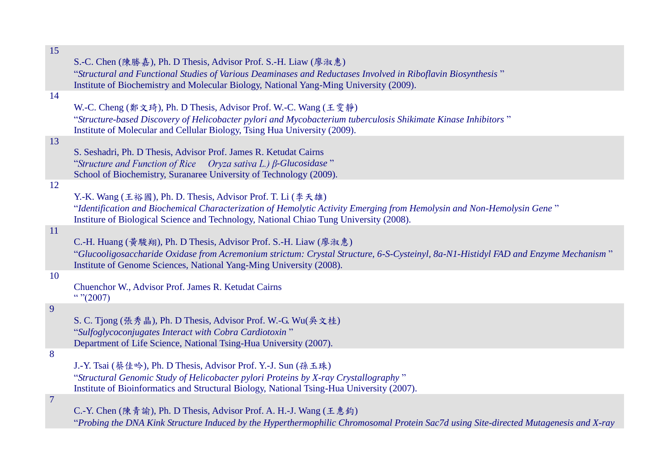| 15             |                                                                                                                                    |
|----------------|------------------------------------------------------------------------------------------------------------------------------------|
|                | S.-C. Chen (陳勝嘉), Ph. D Thesis, Advisor Prof. S.-H. Liaw (廖淑惠)                                                                     |
|                | "Structural and Functional Studies of Various Deaminases and Reductases Involved in Riboflavin Biosynthesis"                       |
|                | Institute of Biochemistry and Molecular Biology, National Yang-Ming University (2009).                                             |
| 14             |                                                                                                                                    |
|                | W.-C. Cheng (鄭文琦), Ph. D Thesis, Advisor Prof. W.-C. Wang (王雯静)                                                                    |
|                | "Structure-based Discovery of Helicobacter pylori and Mycobacterium tuberculosis Shikimate Kinase Inhibitors"                      |
|                | Institute of Molecular and Cellular Biology, Tsing Hua University (2009).                                                          |
| 13             |                                                                                                                                    |
|                | S. Seshadri, Ph. D Thesis, Advisor Prof. James R. Ketudat Cairns                                                                   |
|                | "Structure and Function of Rice Oryza sativa L.) $\beta$ -Glucosidase"                                                             |
|                | School of Biochemistry, Suranaree University of Technology (2009).                                                                 |
| 12             |                                                                                                                                    |
|                | Y.-K. Wang (王裕國), Ph. D. Thesis, Advisor Prof. T. Li (李天雄)                                                                         |
|                | "Identification and Biochemical Characterization of Hemolytic Activity Emerging from Hemolysin and Non-Hemolysin Gene"             |
|                | Institure of Biological Science and Technology, National Chiao Tung University (2008).                                             |
| 11             |                                                                                                                                    |
|                | C.-H. Huang (黃駿翔), Ph. D Thesis, Advisor Prof. S.-H. Liaw (廖淑惠)                                                                    |
|                | "Glucooligosaccharide Oxidase from Acremonium strictum: Crystal Structure, 6-S-Cysteinyl, 8a-N1-Histidyl FAD and Enzyme Mechanism" |
|                | Institute of Genome Sciences, National Yang-Ming University (2008).                                                                |
| 10             |                                                                                                                                    |
|                | Chuenchor W., Advisor Prof. James R. Ketudat Cairns                                                                                |
|                | ``''(2007)                                                                                                                         |
| 9              |                                                                                                                                    |
|                | S. C. Tjong (張秀晶), Ph. D Thesis, Advisor Prof. W.-G. Wu(吳文桂)                                                                       |
|                | "Sulfoglycoconjugates Interact with Cobra Cardiotoxin"                                                                             |
|                | Department of Life Science, National Tsing-Hua University (2007).                                                                  |
| 8              |                                                                                                                                    |
|                | J.-Y. Tsai (蔡佳吟), Ph. D Thesis, Advisor Prof. Y.-J. Sun (孫玉珠)                                                                      |
|                | "Structural Genomic Study of Helicobacter pylori Proteins by X-ray Crystallography"                                                |
|                | Institute of Bioinformatics and Structural Biology, National Tsing-Hua University (2007).                                          |
| $\overline{7}$ |                                                                                                                                    |
|                | C.-Y. Chen (陳青諭), Ph. D Thesis, Advisor Prof. A. H.-J. Wang (王惠鈞)                                                                  |
|                |                                                                                                                                    |

"*Probing the DNA Kink Structure Induced by the Hyperthermophilic Chromosomal Protein Sac7d using Site-directed Mutagenesis and X-ray*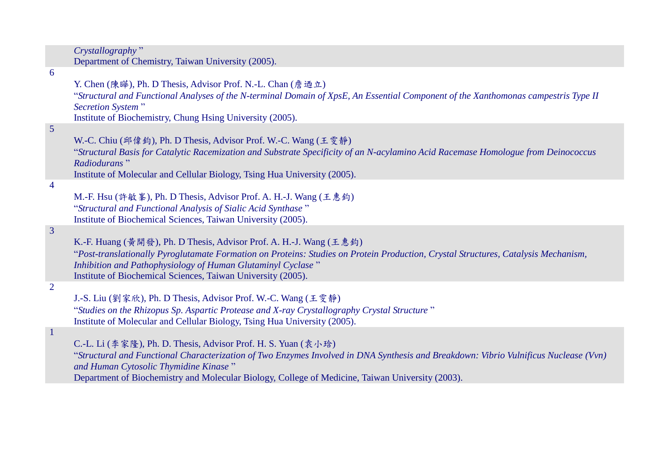|                 | Crystallography"<br>Department of Chemistry, Taiwan University (2005).                                                                                                                                                                                                                                                                             |
|-----------------|----------------------------------------------------------------------------------------------------------------------------------------------------------------------------------------------------------------------------------------------------------------------------------------------------------------------------------------------------|
| 6               | Y. Chen (陳曄), Ph. D Thesis, Advisor Prof. N.-L. Chan (詹迺立)<br>"Structural and Functional Analyses of the N-terminal Domain of XpsE, An Essential Component of the Xanthomonas campestris Type II<br><b>Secretion System</b> "<br>Institute of Biochemistry, Chung Hsing University (2005).                                                         |
| $5\overline{)}$ | W.-C. Chiu (邱偉鈞), Ph. D Thesis, Advisor Prof. W.-C. Wang (王雯静)<br>"Structural Basis for Catalytic Racemization and Substrate Specificity of an N-acylamino Acid Racemase Homologue from Deinococcus<br>Radiodurans"<br>Institute of Molecular and Cellular Biology, Tsing Hua University (2005).                                                   |
| $\overline{4}$  | M.-F. Hsu (許敏峯), Ph. D Thesis, Advisor Prof. A. H.-J. Wang (王惠鈞)<br>"Structural and Functional Analysis of Sialic Acid Synthase"<br>Institute of Biochemical Sciences, Taiwan University (2005).                                                                                                                                                   |
| $\overline{3}$  | K.-F. Huang (黃開發), Ph. D Thesis, Advisor Prof. A. H.-J. Wang (王惠鈞)<br>"Post-translationally Pyroglutamate Formation on Proteins: Studies on Protein Production, Crystal Structures, Catalysis Mechanism,<br>Inhibition and Pathophysiology of Human Glutaminyl Cyclase"<br>Institute of Biochemical Sciences, Taiwan University (2005).            |
| $\overline{2}$  | J.-S. Liu (劉家欣), Ph. D Thesis, Advisor Prof. W.-C. Wang (王雯静)<br>"Studies on the Rhizopus Sp. Aspartic Protease and X-ray Crystallography Crystal Structure"<br>Institute of Molecular and Cellular Biology, Tsing Hua University (2005).                                                                                                          |
| $\overline{1}$  | C.-L. Li (李家隆), Ph. D. Thesis, Advisor Prof. H. S. Yuan (袁小琀)<br>"Structural and Functional Characterization of Two Enzymes Involved in DNA Synthesis and Breakdown: Vibrio Vulnificus Nuclease (Vvn)<br>and Human Cytosolic Thymidine Kinase"<br>Department of Biochemistry and Molecular Biology, College of Medicine, Taiwan University (2003). |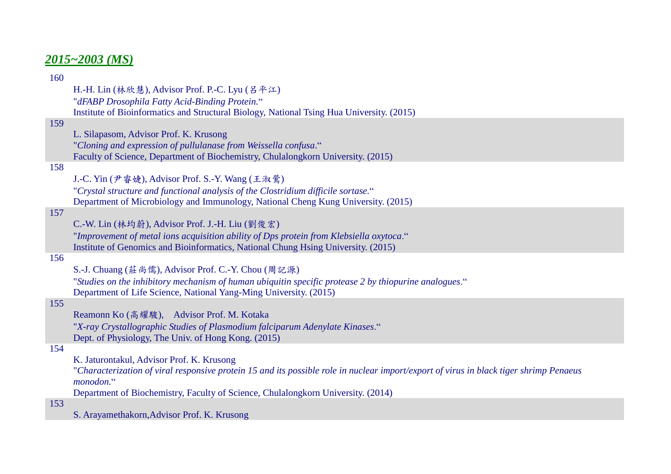# *2015~2003 (MS)*

| 160 |                                                                                                                                        |
|-----|----------------------------------------------------------------------------------------------------------------------------------------|
|     | H.-H. Lin (林欣慧), Advisor Prof. P.-C. Lyu (呂平江)                                                                                         |
|     | "dFABP Drosophila Fatty Acid-Binding Protein."                                                                                         |
|     | Institute of Bioinformatics and Structural Biology, National Tsing Hua University. (2015)                                              |
| 159 |                                                                                                                                        |
|     | L. Silapasom, Advisor Prof. K. Krusong                                                                                                 |
|     | "Cloning and expression of pullulanase from Weissella confusa."                                                                        |
|     | Faculty of Science, Department of Biochemistry, Chulalongkorn University. (2015)                                                       |
| 158 |                                                                                                                                        |
|     | J.-C. Yin (尹睿婕), Advisor Prof. S.-Y. Wang (王淑鶯)                                                                                        |
|     | "Crystal structure and functional analysis of the Clostridium difficile sortase."                                                      |
|     | Department of Microbiology and Immunology, National Cheng Kung University. (2015)                                                      |
| 157 |                                                                                                                                        |
|     | C.-W. Lin (林均蔚), Advisor Prof. J.-H. Liu (劉俊宏)                                                                                         |
|     | "Improvement of metal ions acquisition ability of Dps protein from Klebsiella oxytoca."                                                |
|     | Institute of Genomics and Bioinformatics, National Chung Hsing University. (2015)                                                      |
| 156 |                                                                                                                                        |
|     | S.-J. Chuang (莊尚儒), Advisor Prof. C.-Y. Chou (周記源)                                                                                     |
|     | "Studies on the inhibitory mechanism of human ubiquitin specific protease 2 by thiopurine analogues."                                  |
|     | Department of Life Science, National Yang-Ming University. (2015)                                                                      |
| 155 |                                                                                                                                        |
|     | Reamonn Ko (高耀駿), Advisor Prof. M. Kotaka                                                                                              |
|     | "X-ray Crystallographic Studies of Plasmodium falciparum Adenylate Kinases."                                                           |
|     | Dept. of Physiology, The Univ. of Hong Kong. (2015)                                                                                    |
| 154 |                                                                                                                                        |
|     | K. Jaturontakul, Advisor Prof. K. Krusong                                                                                              |
|     | "Characterization of viral responsive protein 15 and its possible role in nuclear import/export of virus in black tiger shrimp Penaeus |
|     | monodon."                                                                                                                              |
|     | Department of Biochemistry, Faculty of Science, Chulalongkorn University. (2014)                                                       |
| 153 |                                                                                                                                        |
|     |                                                                                                                                        |

S. Arayamethakorn,Advisor Prof. K. Krusong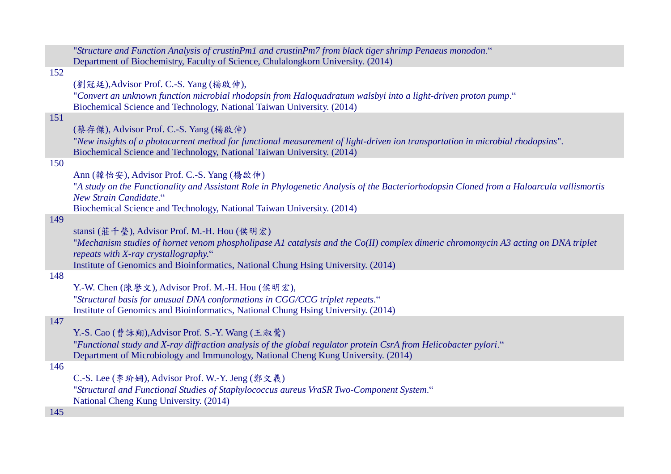|     | "Structure and Function Analysis of crustinPm1 and crustinPm7 from black tiger shrimp Penaeus monodon."                                  |
|-----|------------------------------------------------------------------------------------------------------------------------------------------|
|     | Department of Biochemistry, Faculty of Science, Chulalongkorn University. (2014)                                                         |
| 152 |                                                                                                                                          |
|     | (劉冠廷), Advisor Prof. C.-S. Yang (楊啟伸),                                                                                                   |
|     | "Convert an unknown function microbial rhodopsin from Haloquadratum walsbyi into a light-driven proton pump."                            |
|     | Biochemical Science and Technology, National Taiwan University. (2014)                                                                   |
| 151 |                                                                                                                                          |
|     | (蔡存傑), Advisor Prof. C.-S. Yang (楊啟伸)                                                                                                    |
|     | "New insights of a photocurrent method for functional measurement of light-driven ion transportation in microbial rhodopsins".           |
|     | Biochemical Science and Technology, National Taiwan University. (2014)                                                                   |
| 150 |                                                                                                                                          |
|     | Ann (韓怡安), Advisor Prof. C.-S. Yang (楊啟伸)                                                                                                |
|     | "A study on the Functionality and Assistant Role in Phylogenetic Analysis of the Bacteriorhodopsin Cloned from a Haloarcula vallismortis |
|     | New Strain Candidate."                                                                                                                   |
|     | Biochemical Science and Technology, National Taiwan University. (2014)                                                                   |
| 149 |                                                                                                                                          |
|     | stansi (莊千瑩), Advisor Prof. M.-H. Hou (侯明宏)                                                                                              |
|     | "Mechanism studies of hornet venom phospholipase A1 catalysis and the Co(II) complex dimeric chromomycin A3 acting on DNA triplet        |
|     | repeats with X-ray crystallography."                                                                                                     |
|     | Institute of Genomics and Bioinformatics, National Chung Hsing University. (2014)                                                        |
| 148 |                                                                                                                                          |
|     | Y.-W. Chen (陳譽文), Advisor Prof. M.-H. Hou (侯明宏),                                                                                         |
|     | "Structural basis for unusual DNA conformations in CGG/CCG triplet repeats."                                                             |
|     | Institute of Genomics and Bioinformatics, National Chung Hsing University. (2014)                                                        |
| 147 |                                                                                                                                          |
|     | Y.-S. Cao (曹詠翔), Advisor Prof. S.-Y. Wang (王淑鶯)                                                                                          |
|     | "Functional study and X-ray diffraction analysis of the global regulator protein CsrA from Helicobacter pylori."                         |
|     | Department of Microbiology and Immunology, National Cheng Kung University. (2014)                                                        |
| 146 |                                                                                                                                          |
|     | C.-S. Lee (李玠姗), Advisor Prof. W.-Y. Jeng (鄭文義)                                                                                          |
|     | "Structural and Functional Studies of Staphylococcus aureus VraSR Two-Component System."                                                 |
|     | National Cheng Kung University. (2014)                                                                                                   |
| 145 |                                                                                                                                          |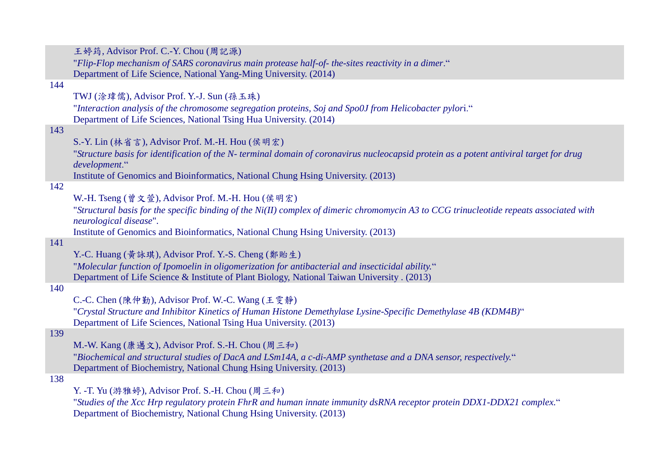王婷筠, Advisor Prof. C.-Y. Chou (周記源)

"*Flip-Flop mechanism of SARS coronavirus main protease half-of- the-sites reactivity in a dimer*." Department of Life Science, National Yang-Ming University. (2014)

# 144

TWJ (涂瑋儒), Advisor Prof. Y.-J. Sun (孫玉珠)

"*Interaction analysis of the chromosome segregation proteins, Soj and Spo0J from Helicobacter pylor*i." Department of Life Sciences, National Tsing Hua University. (2014)

# 143

| S.-Y. Lin (林省言), Advisor Prof. M.-H. Hou (侯明宏) |  |  |  |
|------------------------------------------------|--|--|--|
|------------------------------------------------|--|--|--|

"*Structure basis for identification of the N- terminal domain of coronavirus nucleocapsid protein as a potent antiviral target for drug development*."

Institute of Genomics and Bioinformatics, National Chung Hsing University. (2013)

# 142

W.-H. Tseng (曾文萱), Advisor Prof. M.-H. Hou (侯明宏)

"*Structural basis for the specific binding of the Ni(II) complex of dimeric chromomycin A3 to CCG trinucleotide repeats associated with neurological disease*".

Institute of Genomics and Bioinformatics, National Chung Hsing University. (2013)

#### 141

Y.-C. Huang (黃詠琪), Advisor Prof. Y.-S. Cheng (鄭貽生)

"*Molecular function of Ipomoelin in oligomerization for antibacterial and insecticidal ability.*" Department of Life Science & Institute of Plant Biology, National Taiwan University . (2013)

#### 140

C.-C. Chen (陳仲勤), Advisor Prof. W.-C. Wang (王雯靜)

"*Crystal Structure and Inhibitor Kinetics of Human Histone Demethylase Lysine-Specific Demethylase 4B (KDM4B)*" Department of Life Sciences, National Tsing Hua University. (2013)

# 139

M.-W. Kang (康邁文), Advisor Prof. S.-H. Chou (周三和)

"*Biochemical and structural studies of DacA and LSm14A, a c-di-AMP synthetase and a DNA sensor, respectively.*" Department of Biochemistry, National Chung Hsing University. (2013)

# 138

Y. -T. Yu (游雅婷), Advisor Prof. S.-H. Chou (周三和)

"*Studies of the Xcc Hrp regulatory protein FhrR and human innate immunity dsRNA receptor protein DDX1-DDX21 complex.*" Department of Biochemistry, National Chung Hsing University. (2013)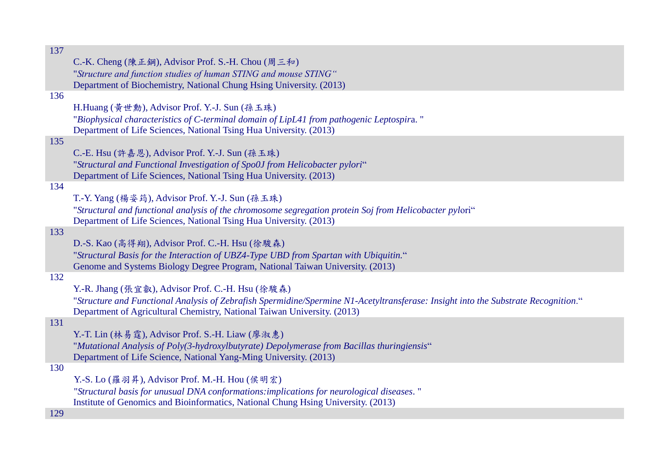| C.-K. Cheng (陳正鋼), Advisor Prof. S.-H. Chou (周三和)<br>"Structure and function studies of human STING and mouse STING"<br>Department of Biochemistry, National Chung Hsing University. (2013)<br>H.Huang (黃世勳), Advisor Prof. Y.-J. Sun (孫玉珠)<br>"Biophysical characteristics of C-terminal domain of LipL41 from pathogenic Leptospira."<br>Department of Life Sciences, National Tsing Hua University. (2013)<br>135<br>C.-E. Hsu (許嘉恩), Advisor Prof. Y.-J. Sun (孫玉珠)<br>"Structural and Functional Investigation of Spo0J from Helicobacter pylori"<br>Department of Life Sciences, National Tsing Hua University. (2013)<br>T.-Y. Yang (楊姿筠), Advisor Prof. Y.-J. Sun (孫玉珠)<br>"Structural and functional analysis of the chromosome segregation protein Soj from Helicobacter pylori"<br>Department of Life Sciences, National Tsing Hua University. (2013)<br>D.-S. Kao (高得翔), Advisor Prof. C.-H. Hsu (徐駿森)<br>"Structural Basis for the Interaction of UBZ4-Type UBD from Spartan with Ubiquitin."<br>Genome and Systems Biology Degree Program, National Taiwan University. (2013)<br>Y.-R. Jhang (張宜叡), Advisor Prof. C.-H. Hsu (徐駿森)<br>"Structure and Functional Analysis of Zebrafish Spermidine/Spermine N1-Acetyltransferase: Insight into the Substrate Recognition."<br>Department of Agricultural Chemistry, National Taiwan University. (2013)<br>Y.-T. Lin (林易霆), Advisor Prof. S.-H. Liaw (廖淑惠)<br>"Mutational Analysis of Poly(3-hydroxylbutyrate) Depolymerase from Bacillas thuringiensis"<br>Department of Life Science, National Yang-Ming University. (2013)<br>Y.-S. Lo (羅羽昇), Advisor Prof. M.-H. Hou (侯明宏)<br>"Structural basis for unusual DNA conformations:implications for neurological diseases."<br>Institute of Genomics and Bioinformatics, National Chung Hsing University. (2013) | 137 |  |
|--------------------------------------------------------------------------------------------------------------------------------------------------------------------------------------------------------------------------------------------------------------------------------------------------------------------------------------------------------------------------------------------------------------------------------------------------------------------------------------------------------------------------------------------------------------------------------------------------------------------------------------------------------------------------------------------------------------------------------------------------------------------------------------------------------------------------------------------------------------------------------------------------------------------------------------------------------------------------------------------------------------------------------------------------------------------------------------------------------------------------------------------------------------------------------------------------------------------------------------------------------------------------------------------------------------------------------------------------------------------------------------------------------------------------------------------------------------------------------------------------------------------------------------------------------------------------------------------------------------------------------------------------------------------------------------------------------------------------------------------------------------------------------------------------------------------------|-----|--|
|                                                                                                                                                                                                                                                                                                                                                                                                                                                                                                                                                                                                                                                                                                                                                                                                                                                                                                                                                                                                                                                                                                                                                                                                                                                                                                                                                                                                                                                                                                                                                                                                                                                                                                                                                                                                                          |     |  |
|                                                                                                                                                                                                                                                                                                                                                                                                                                                                                                                                                                                                                                                                                                                                                                                                                                                                                                                                                                                                                                                                                                                                                                                                                                                                                                                                                                                                                                                                                                                                                                                                                                                                                                                                                                                                                          |     |  |
|                                                                                                                                                                                                                                                                                                                                                                                                                                                                                                                                                                                                                                                                                                                                                                                                                                                                                                                                                                                                                                                                                                                                                                                                                                                                                                                                                                                                                                                                                                                                                                                                                                                                                                                                                                                                                          |     |  |
|                                                                                                                                                                                                                                                                                                                                                                                                                                                                                                                                                                                                                                                                                                                                                                                                                                                                                                                                                                                                                                                                                                                                                                                                                                                                                                                                                                                                                                                                                                                                                                                                                                                                                                                                                                                                                          | 136 |  |
|                                                                                                                                                                                                                                                                                                                                                                                                                                                                                                                                                                                                                                                                                                                                                                                                                                                                                                                                                                                                                                                                                                                                                                                                                                                                                                                                                                                                                                                                                                                                                                                                                                                                                                                                                                                                                          |     |  |
|                                                                                                                                                                                                                                                                                                                                                                                                                                                                                                                                                                                                                                                                                                                                                                                                                                                                                                                                                                                                                                                                                                                                                                                                                                                                                                                                                                                                                                                                                                                                                                                                                                                                                                                                                                                                                          |     |  |
|                                                                                                                                                                                                                                                                                                                                                                                                                                                                                                                                                                                                                                                                                                                                                                                                                                                                                                                                                                                                                                                                                                                                                                                                                                                                                                                                                                                                                                                                                                                                                                                                                                                                                                                                                                                                                          |     |  |
|                                                                                                                                                                                                                                                                                                                                                                                                                                                                                                                                                                                                                                                                                                                                                                                                                                                                                                                                                                                                                                                                                                                                                                                                                                                                                                                                                                                                                                                                                                                                                                                                                                                                                                                                                                                                                          |     |  |
|                                                                                                                                                                                                                                                                                                                                                                                                                                                                                                                                                                                                                                                                                                                                                                                                                                                                                                                                                                                                                                                                                                                                                                                                                                                                                                                                                                                                                                                                                                                                                                                                                                                                                                                                                                                                                          |     |  |
|                                                                                                                                                                                                                                                                                                                                                                                                                                                                                                                                                                                                                                                                                                                                                                                                                                                                                                                                                                                                                                                                                                                                                                                                                                                                                                                                                                                                                                                                                                                                                                                                                                                                                                                                                                                                                          |     |  |
|                                                                                                                                                                                                                                                                                                                                                                                                                                                                                                                                                                                                                                                                                                                                                                                                                                                                                                                                                                                                                                                                                                                                                                                                                                                                                                                                                                                                                                                                                                                                                                                                                                                                                                                                                                                                                          | 134 |  |
|                                                                                                                                                                                                                                                                                                                                                                                                                                                                                                                                                                                                                                                                                                                                                                                                                                                                                                                                                                                                                                                                                                                                                                                                                                                                                                                                                                                                                                                                                                                                                                                                                                                                                                                                                                                                                          |     |  |
|                                                                                                                                                                                                                                                                                                                                                                                                                                                                                                                                                                                                                                                                                                                                                                                                                                                                                                                                                                                                                                                                                                                                                                                                                                                                                                                                                                                                                                                                                                                                                                                                                                                                                                                                                                                                                          |     |  |
|                                                                                                                                                                                                                                                                                                                                                                                                                                                                                                                                                                                                                                                                                                                                                                                                                                                                                                                                                                                                                                                                                                                                                                                                                                                                                                                                                                                                                                                                                                                                                                                                                                                                                                                                                                                                                          |     |  |
|                                                                                                                                                                                                                                                                                                                                                                                                                                                                                                                                                                                                                                                                                                                                                                                                                                                                                                                                                                                                                                                                                                                                                                                                                                                                                                                                                                                                                                                                                                                                                                                                                                                                                                                                                                                                                          | 133 |  |
|                                                                                                                                                                                                                                                                                                                                                                                                                                                                                                                                                                                                                                                                                                                                                                                                                                                                                                                                                                                                                                                                                                                                                                                                                                                                                                                                                                                                                                                                                                                                                                                                                                                                                                                                                                                                                          |     |  |
|                                                                                                                                                                                                                                                                                                                                                                                                                                                                                                                                                                                                                                                                                                                                                                                                                                                                                                                                                                                                                                                                                                                                                                                                                                                                                                                                                                                                                                                                                                                                                                                                                                                                                                                                                                                                                          |     |  |
|                                                                                                                                                                                                                                                                                                                                                                                                                                                                                                                                                                                                                                                                                                                                                                                                                                                                                                                                                                                                                                                                                                                                                                                                                                                                                                                                                                                                                                                                                                                                                                                                                                                                                                                                                                                                                          |     |  |
|                                                                                                                                                                                                                                                                                                                                                                                                                                                                                                                                                                                                                                                                                                                                                                                                                                                                                                                                                                                                                                                                                                                                                                                                                                                                                                                                                                                                                                                                                                                                                                                                                                                                                                                                                                                                                          | 132 |  |
|                                                                                                                                                                                                                                                                                                                                                                                                                                                                                                                                                                                                                                                                                                                                                                                                                                                                                                                                                                                                                                                                                                                                                                                                                                                                                                                                                                                                                                                                                                                                                                                                                                                                                                                                                                                                                          |     |  |
|                                                                                                                                                                                                                                                                                                                                                                                                                                                                                                                                                                                                                                                                                                                                                                                                                                                                                                                                                                                                                                                                                                                                                                                                                                                                                                                                                                                                                                                                                                                                                                                                                                                                                                                                                                                                                          |     |  |
|                                                                                                                                                                                                                                                                                                                                                                                                                                                                                                                                                                                                                                                                                                                                                                                                                                                                                                                                                                                                                                                                                                                                                                                                                                                                                                                                                                                                                                                                                                                                                                                                                                                                                                                                                                                                                          | 131 |  |
|                                                                                                                                                                                                                                                                                                                                                                                                                                                                                                                                                                                                                                                                                                                                                                                                                                                                                                                                                                                                                                                                                                                                                                                                                                                                                                                                                                                                                                                                                                                                                                                                                                                                                                                                                                                                                          |     |  |
|                                                                                                                                                                                                                                                                                                                                                                                                                                                                                                                                                                                                                                                                                                                                                                                                                                                                                                                                                                                                                                                                                                                                                                                                                                                                                                                                                                                                                                                                                                                                                                                                                                                                                                                                                                                                                          |     |  |
|                                                                                                                                                                                                                                                                                                                                                                                                                                                                                                                                                                                                                                                                                                                                                                                                                                                                                                                                                                                                                                                                                                                                                                                                                                                                                                                                                                                                                                                                                                                                                                                                                                                                                                                                                                                                                          |     |  |
|                                                                                                                                                                                                                                                                                                                                                                                                                                                                                                                                                                                                                                                                                                                                                                                                                                                                                                                                                                                                                                                                                                                                                                                                                                                                                                                                                                                                                                                                                                                                                                                                                                                                                                                                                                                                                          | 130 |  |
|                                                                                                                                                                                                                                                                                                                                                                                                                                                                                                                                                                                                                                                                                                                                                                                                                                                                                                                                                                                                                                                                                                                                                                                                                                                                                                                                                                                                                                                                                                                                                                                                                                                                                                                                                                                                                          |     |  |
|                                                                                                                                                                                                                                                                                                                                                                                                                                                                                                                                                                                                                                                                                                                                                                                                                                                                                                                                                                                                                                                                                                                                                                                                                                                                                                                                                                                                                                                                                                                                                                                                                                                                                                                                                                                                                          |     |  |
|                                                                                                                                                                                                                                                                                                                                                                                                                                                                                                                                                                                                                                                                                                                                                                                                                                                                                                                                                                                                                                                                                                                                                                                                                                                                                                                                                                                                                                                                                                                                                                                                                                                                                                                                                                                                                          |     |  |
|                                                                                                                                                                                                                                                                                                                                                                                                                                                                                                                                                                                                                                                                                                                                                                                                                                                                                                                                                                                                                                                                                                                                                                                                                                                                                                                                                                                                                                                                                                                                                                                                                                                                                                                                                                                                                          | 129 |  |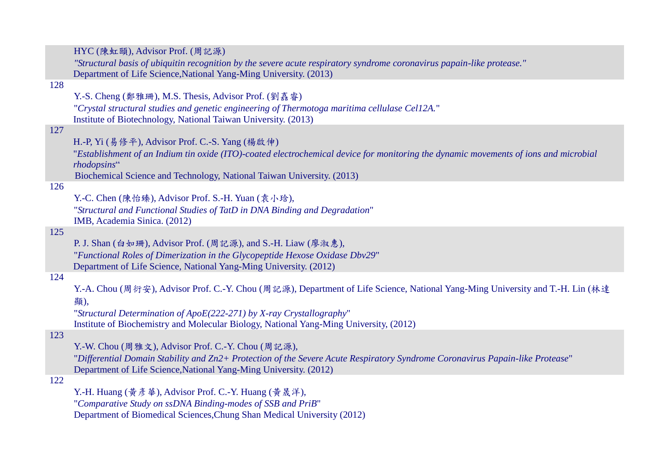|     | HYC (陳虹頤), Advisor Prof. (周記源)                                                                                                                      |
|-----|-----------------------------------------------------------------------------------------------------------------------------------------------------|
|     | "Structural basis of ubiquitin recognition by the severe acute respiratory syndrome coronavirus papain-like protease."                              |
|     | Department of Life Science, National Yang-Ming University. (2013)                                                                                   |
| 128 |                                                                                                                                                     |
|     | Y.-S. Cheng (鄭雅珊), M.S. Thesis, Advisor Prof. (劉嘉睿)                                                                                                 |
|     | "Crystal structural studies and genetic engineering of Thermotoga maritima cellulase Cel12A."                                                       |
|     | Institute of Biotechnology, National Taiwan University. (2013)                                                                                      |
| 127 |                                                                                                                                                     |
|     | H.-P, Yi (易修平), Advisor Prof. C.-S. Yang (楊啟伸)                                                                                                      |
|     | "Establishment of an Indium tin oxide (ITO)-coated electrochemical device for monitoring the dynamic movements of ions and microbial<br>rhodopsins" |
|     | Biochemical Science and Technology, National Taiwan University. (2013)                                                                              |
| 126 |                                                                                                                                                     |
|     | Y.-C. Chen (陳怡臻), Advisor Prof. S.-H. Yuan (袁小琀),                                                                                                   |
|     | "Structural and Functional Studies of TatD in DNA Binding and Degradation"                                                                          |
|     | IMB, Academia Sinica. (2012)                                                                                                                        |
| 125 |                                                                                                                                                     |
|     | P. J. Shan (白如珊), Advisor Prof. (周記源), and S.-H. Liaw (廖淑惠),                                                                                        |
|     | "Functional Roles of Dimerization in the Glycopeptide Hexose Oxidase Dbv29"                                                                         |
|     | Department of Life Science, National Yang-Ming University. (2012)                                                                                   |
| 124 |                                                                                                                                                     |
|     | Y.-A. Chou (周衍安), Advisor Prof. C.-Y. Chou (周記源), Department of Life Science, National Yang-Ming University and T.-H. Lin (林達                       |
|     | 顯),                                                                                                                                                 |
|     | "Structural Determination of ApoE(222-271) by X-ray Crystallography"                                                                                |
|     | Institute of Biochemistry and Molecular Biology, National Yang-Ming University, (2012)                                                              |
| 123 |                                                                                                                                                     |
|     | Y.-W. Chou (周雅文), Advisor Prof. C.-Y. Chou (周記源),                                                                                                   |
|     | "Differential Domain Stability and Zn2+ Protection of the Severe Acute Respiratory Syndrome Coronavirus Papain-like Protease"                       |
|     | Department of Life Science, National Yang-Ming University. (2012)                                                                                   |
| 122 |                                                                                                                                                     |
|     | Y.-H. Huang (黃彥華), Advisor Prof. C.-Y. Huang (黃晟洋),                                                                                                 |
|     | "Comparative Study on ssDNA Binding-modes of SSB and PriB"                                                                                          |

Department of Biomedical Sciences,Chung Shan Medical University (2012)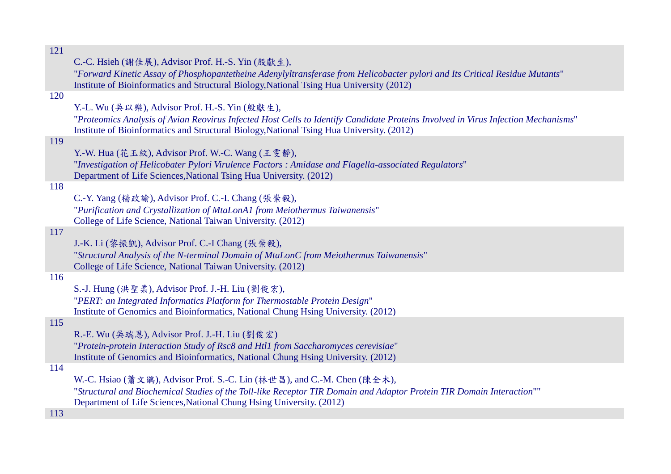| C.-C. Hsieh (謝佳展), Advisor Prof. H.-S. Yin (殷獻生),                                                                                 |
|-----------------------------------------------------------------------------------------------------------------------------------|
| "Forward Kinetic Assay of Phosphopantetheine Adenylyltransferase from Helicobacter pylori and Its Critical Residue Mutants"       |
| Institute of Bioinformatics and Structural Biology, National Tsing Hua University (2012)                                          |
|                                                                                                                                   |
| Y.-L. Wu (吳以樂), Advisor Prof. H.-S. Yin (殷獻生),                                                                                    |
| "Proteomics Analysis of Avian Reovirus Infected Host Cells to Identify Candidate Proteins Involved in Virus Infection Mechanisms" |
| Institute of Bioinformatics and Structural Biology, National Tsing Hua University. (2012)                                         |
|                                                                                                                                   |
|                                                                                                                                   |
| Y.-W. Hua (花玉紋), Advisor Prof. W.-C. Wang (王雯静),                                                                                  |
| "Investigation of Helicobater Pylori Virulence Factors: Amidase and Flagella-associated Regulators"                               |
| Department of Life Sciences, National Tsing Hua University. (2012)                                                                |
|                                                                                                                                   |
| C.-Y. Yang (楊政諭), Advisor Prof. C.-I. Chang (張崇毅),                                                                                |
| "Purification and Crystallization of MtaLonA1 from Meiothermus Taiwanensis"                                                       |
| College of Life Science, National Taiwan University. (2012)                                                                       |
|                                                                                                                                   |
| J.-K. Li (黎振凱), Advisor Prof. C.-I Chang (張崇毅),                                                                                   |
| "Structural Analysis of the N-terminal Domain of MtaLonC from Meiothermus Taiwanensis"                                            |
| College of Life Science, National Taiwan University. (2012)                                                                       |
|                                                                                                                                   |
| S.-J. Hung (洪聖柔), Advisor Prof. J.-H. Liu (劉俊宏),                                                                                  |
| "PERT: an Integrated Informatics Platform for Thermostable Protein Design"                                                        |
| Institute of Genomics and Bioinformatics, National Chung Hsing University. (2012)                                                 |
|                                                                                                                                   |
| R.-E. Wu (吳瑞恩), Advisor Prof. J.-H. Liu (劉俊宏)                                                                                     |
| "Protein-protein Interaction Study of Rsc8 and Htl1 from Saccharomyces cerevisiae"                                                |
| Institute of Genomics and Bioinformatics, National Chung Hsing University. (2012)                                                 |
|                                                                                                                                   |
| W.-C. Hsiao (蕭文鵑), Advisor Prof. S.-C. Lin (林世昌), and C.-M. Chen (陳全木),                                                           |
| "Structural and Biochemical Studies of the Toll-like Receptor TIR Domain and Adaptor Protein TIR Domain Interaction""             |
| Department of Life Sciences, National Chung Hsing University. (2012)                                                              |
|                                                                                                                                   |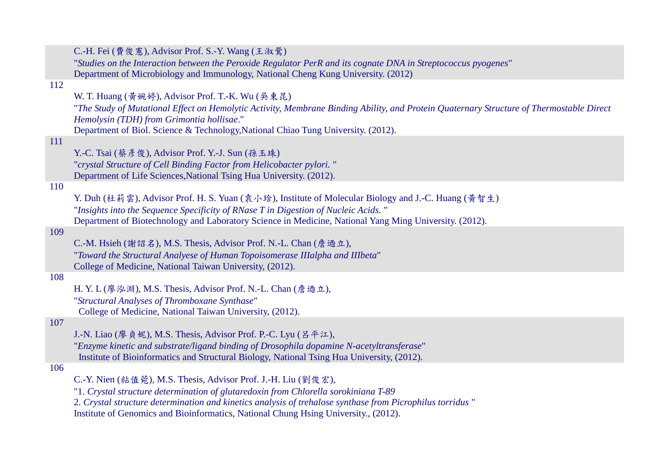|     | C.-H. Fei (費俊憲), Advisor Prof. S.-Y. Wang (王淑鶯)                                                                                                                                       |
|-----|---------------------------------------------------------------------------------------------------------------------------------------------------------------------------------------|
|     | "Studies on the Interaction between the Peroxide Regulator PerR and its cognate DNA in Streptococcus pyogenes"                                                                        |
|     | Department of Microbiology and Immunology, National Cheng Kung University. (2012)                                                                                                     |
| 112 |                                                                                                                                                                                       |
|     | W. T. Huang (黄婉婷), Advisor Prof. T.-K. Wu (吳東昆)                                                                                                                                       |
|     | "The Study of Mutational Effect on Hemolytic Activity, Membrane Binding Ability, and Protein Quaternary Structure of Thermostable Direct<br>Hemolysin (TDH) from Grimontia hollisae." |
|     | Department of Biol. Science & Technology, National Chiao Tung University. (2012).                                                                                                     |
| 111 |                                                                                                                                                                                       |
|     | Y.-C. Tsai (蔡彥俊), Advisor Prof. Y.-J. Sun (孫玉珠)                                                                                                                                       |
|     | "crystal Structure of Cell Binding Factor from Helicobacter pylori."                                                                                                                  |
|     | Department of Life Sciences, National Tsing Hua University. (2012).                                                                                                                   |
| 110 |                                                                                                                                                                                       |
|     | Y. Duh (杜莉雲), Advisor Prof. H. S. Yuan (袁小玲), Institute of Molecular Biology and J.-C. Huang (黃智生)                                                                                    |
|     | "Insights into the Sequence Specificity of RNase T in Digestion of Nucleic Acids."                                                                                                    |
|     | Department of Biotechnology and Laboratory Science in Medicine, National Yang Ming University. (2012).                                                                                |
| 109 |                                                                                                                                                                                       |
|     | C.-M. Hsieh (謝詔名), M.S. Thesis, Advisor Prof. N.-L. Chan (詹迺立),                                                                                                                       |
|     | "Toward the Structural Analyese of Human Topoisomerase IIIalpha and IIIbeta"                                                                                                          |
|     | College of Medicine, National Taiwan University, (2012).                                                                                                                              |
| 108 |                                                                                                                                                                                       |
|     | H. Y. L (廖泓淵), M.S. Thesis, Advisor Prof. N.-L. Chan (詹迺立),                                                                                                                           |
|     | "Structural Analyses of Thromboxane Synthase"                                                                                                                                         |
|     | College of Medicine, National Taiwan University, (2012).                                                                                                                              |
| 107 |                                                                                                                                                                                       |
|     | J.-N. Liao (廖貞妮), M.S. Thesis, Advisor Prof. P.-C. Lyu (呂平江),                                                                                                                         |
|     | "Enzyme kinetic and substrate/ligand binding of Drosophila dopamine N-acetyltransferase"                                                                                              |
|     | Institute of Bioinformatics and Structural Biology, National Tsing Hua University, (2012).                                                                                            |
| 106 |                                                                                                                                                                                       |
|     | C.-Y. Nien (粘值菀), M.S. Thesis, Advisor Prof. J.-H. Liu (劉俊宏),                                                                                                                         |
|     | "1. Crystal structure determination of glutaredoxin from Chlorella sorokiniana T-89                                                                                                   |
|     | 2. Crystal structure determination and kinetics analysis of trehalose synthase from Picrophilus torridus "                                                                            |
|     | Institute of Genomics and Bioinformatics, National Chung Hsing University., (2012).                                                                                                   |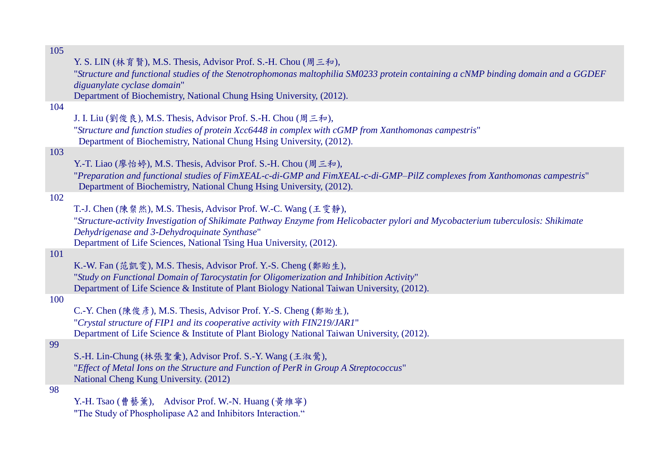|     | Y. S. LIN (林育賢), M.S. Thesis, Advisor Prof. S.-H. Chou (周三和),                                                                     |
|-----|-----------------------------------------------------------------------------------------------------------------------------------|
|     | "Structure and functional studies of the Stenotrophomonas maltophilia SM0233 protein containing a cNMP binding domain and a GGDEF |
|     | diguanylate cyclase domain"                                                                                                       |
|     | Department of Biochemistry, National Chung Hsing University, (2012).                                                              |
| 104 |                                                                                                                                   |
|     | J. I. Liu (劉俊良), M.S. Thesis, Advisor Prof. S.-H. Chou (周三和),                                                                     |
|     | "Structure and function studies of protein Xcc6448 in complex with cGMP from Xanthomonas campestris"                              |
|     | Department of Biochemistry, National Chung Hsing University, (2012).                                                              |
| 103 |                                                                                                                                   |
|     | Y.-T. Liao (廖怡婷), M.S. Thesis, Advisor Prof. S.-H. Chou (周三和),                                                                    |
|     | "Preparation and functional studies of FimXEAL-c-di-GMP and FimXEAL-c-di-GMP–PilZ complexes from Xanthomonas campestris"          |
|     | Department of Biochemistry, National Chung Hsing University, (2012).                                                              |
| 102 |                                                                                                                                   |
|     | T.-J. Chen (陳粲然), M.S. Thesis, Advisor Prof. W.-C. Wang (王雯静),                                                                    |
|     | "Structure-activity Investigation of Shikimate Pathway Enzyme from Helicobacter pylori and Mycobacterium tuberculosis: Shikimate  |
|     | Dehydrigenase and 3-Dehydroquinate Synthase"                                                                                      |
|     | Department of Life Sciences, National Tsing Hua University, (2012).                                                               |
| 101 |                                                                                                                                   |
|     | K.-W. Fan (范凱雯), M.S. Thesis, Advisor Prof. Y.-S. Cheng (鄭貽生),                                                                    |
|     | "Study on Functional Domain of Tarocystatin for Oligomerization and Inhibition Activity"                                          |
|     | Department of Life Science & Institute of Plant Biology National Taiwan University, (2012).                                       |
| 100 |                                                                                                                                   |
|     | C.-Y. Chen (陳俊彥), M.S. Thesis, Advisor Prof. Y.-S. Cheng (鄭貽生),                                                                   |
|     | "Crystal structure of FIP1 and its cooperative activity with FIN219/JAR1"                                                         |
|     | Department of Life Science & Institute of Plant Biology National Taiwan University, (2012).                                       |
| 99  |                                                                                                                                   |
|     | S.-H. Lin-Chung (林張聖彙), Advisor Prof. S.-Y. Wang (王淑鶯),                                                                           |
|     | "Effect of Metal Ions on the Structure and Function of PerR in Group A Streptococcus"                                             |
|     | National Cheng Kung University. (2012)                                                                                            |
| 98  |                                                                                                                                   |
|     | Y.-H. Tsao (曹藝薰), Advisor Prof. W.-N. Huang (黃維寧)                                                                                 |
|     | "The Study of Phospholipase A2 and Inhibitors Interaction."                                                                       |
|     |                                                                                                                                   |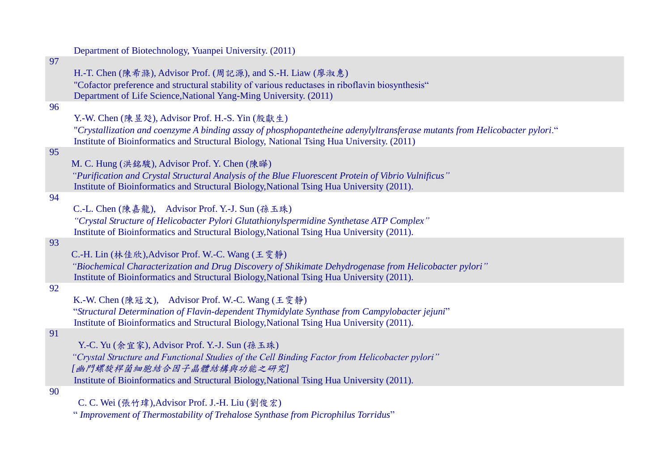Department of Biotechnology, Yuanpei University. (2011) 97 H.-T. Chen (陳希滌), Advisor Prof. (周記源), and S.-H. Liaw (廖淑惠) "Cofactor preference and structural stability of various reductases in riboflavin biosynthesis" Department of Life Science,National Yang-Ming University. (2011) 96 Y.-W. Chen (陳昱彣), Advisor Prof. H.-S. Yin (殷獻生) "*Crystallization and coenzyme A binding assay of phosphopantetheine adenylyltransferase mutants from Helicobacter pylori*." Institute of Bioinformatics and Structural Biology, National Tsing Hua University. (2011) 95 M. C. Hung (洪銘駿), Advisor Prof. Y. Chen (陳曄) *"Purification and Crystal Structural Analysis of the Blue Fluorescent Protein of Vibrio Vulnificus"* Institute of Bioinformatics and Structural Biology,National Tsing Hua University (2011). 94 C.-L. Chen (陳嘉龍), Advisor Prof. Y.-J. Sun (孫玉珠) *"Crystal Structure of Helicobacter Pylori Glutathionylspermidine Synthetase ATP Complex"* Institute of Bioinformatics and Structural Biology,National Tsing Hua University (2011). 93 C.-H. Lin (林佳欣),Advisor Prof. W.-C. Wang (王雯靜) *"Biochemical Characterization and Drug Discovery of Shikimate Dehydrogenase from Helicobacter pylori"* Institute of Bioinformatics and Structural Biology,National Tsing Hua University (2011). 92 K.-W. Chen (陳冠文), Advisor Prof. W.-C. Wang (王雯靜) "*Structural Determination of Flavin-dependent Thymidylate Synthase from Campylobacter jejuni*" Institute of Bioinformatics and Structural Biology,National Tsing Hua University (2011). 91 Y.-C. Yu (余宜家), Advisor Prof. Y.-J. Sun (孫玉珠) *"Crystal Structure and Functional Studies of the Cell Binding Factor from Helicobacter pylori" [*幽門螺旋桿菌細胞結合因子晶體結構與功能之研究*]* Institute of Bioinformatics and Structural Biology,National Tsing Hua University (2011). 90

C. C. Wei (張竹瑋),Advisor Prof. J.-H. Liu (劉俊宏)

" *Improvement of Thermostability of Trehalose Synthase from Picrophilus Torridus*"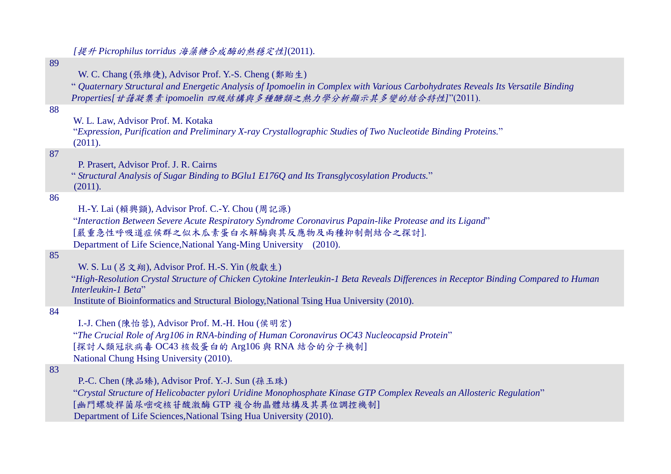89 W. C. Chang (張維倢), Advisor Prof. Y.-S. Cheng (鄭貽生) " *Quaternary Structural and Energetic Analysis of Ipomoelin in Complex with Various Carbohydrates Reveals Its Versatile Binding Properties[*甘藷凝集素 *ipomoelin* 四級結構與多種醣類之熱力學分析顯示其多變的結合特性*]*"(2011). 88 W. L. Law, Advisor Prof. M. Kotaka "*Expression, Purification and Preliminary X-ray Crystallographic Studies of Two Nucleotide Binding Proteins.*"  $(2011).$ 87 P. Prasert, Advisor Prof. J. R. Cairns " *Structural Analysis of Sugar Binding to BGlu1 E176Q and Its Transglycosylation Products.*" (2011). 86 H.-Y. Lai (賴興顗), Advisor Prof. C.-Y. Chou (周記源) "*Interaction Between Severe Acute Respiratory Syndrome Coronavirus Papain-like Protease and its Ligand*" [嚴重急性呼吸道症候群之似木瓜素蛋白水解酶與其反應物及兩種抑制劑結合之探討]. Department of Life Science,National Yang-Ming University (2010). 85 W. S. Lu (呂文翔), Advisor Prof. H.-S. Yin (殷獻生) "*High-Resolution Crystal Structure of Chicken Cytokine Interleukin-1 Beta Reveals Differences in Receptor Binding Compared to Human Interleukin-1 Beta*" Institute of Bioinformatics and Structural Biology,National Tsing Hua University (2010). 84 I.-J. Chen (陳怡蓉), Advisor Prof. M.-H. Hou (侯明宏) "*The Crucial Role of Arg106 in RNA-binding of Human Coronavirus OC43 Nucleocapsid Protein*" [探討人類冠狀病毒 OC43 核殼蛋白的 Arg106 與 RNA 結合的分子機制] National Chung Hsing University (2010). 83 P.-C. Chen (陳品臻), Advisor Prof. Y.-J. Sun (孫玉珠) "*Crystal Structure of Helicobacter pylori Uridine Monophosphate Kinase GTP Complex Reveals an Allosteric Regulation*" [幽門螺旋桿菌尿嘧啶核苷酸激酶 GTP 複合物晶體結構及其異位調控機制] Department of Life Sciences,National Tsing Hua University (2010).

*[*提升 *Picrophilus torridus* 海藻糖合成酶的熱穩定性*]*(2011).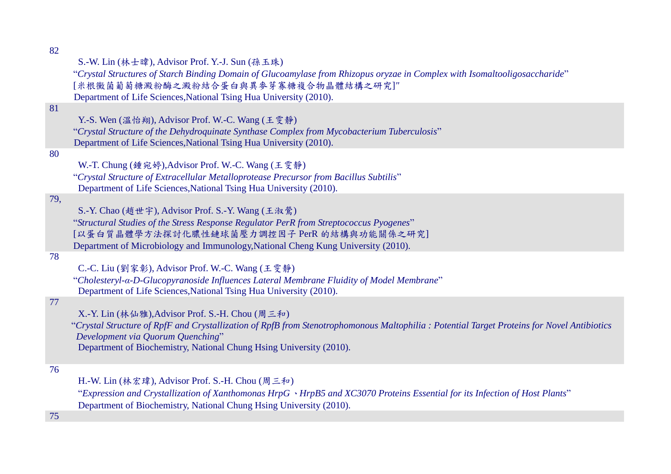|  |  |  |  |  |  |  | S.-W. Lin (林士暐), Advisor Prof. Y.-J. Sun (孫玉珠) |  |
|--|--|--|--|--|--|--|------------------------------------------------|--|
|--|--|--|--|--|--|--|------------------------------------------------|--|

"*Crystal Structures of Starch Binding Domain of Glucoamylase from Rhizopus oryzae in Complex with Isomaltooligosaccharide*" [米根黴菌葡萄糖澱粉酶之澱粉結合蛋白與異麥芽寡糖複合物晶體結構之研究]*"*

Department of Life Sciences,National Tsing Hua University (2010).

# 81

Y.-S. Wen (溫怡翔), Advisor Prof. W.-C. Wang (王雯靜)

"*Crystal Structure of the Dehydroquinate Synthase Complex from Mycobacterium Tuberculosis*" Department of Life Sciences,National Tsing Hua University (2010).

#### 80

W.-T. Chung (鍾宛婷),Advisor Prof. W.-C. Wang (王雯靜)

"*Crystal Structure of Extracellular Metalloprotease Precursor from Bacillus Subtilis*" Department of Life Sciences,National Tsing Hua University (2010).

# 79,

S.-Y. Chao (趙世宇), Advisor Prof. S.-Y. Wang (王淑鶯)

"*Structural Studies of the Stress Response Regulator PerR from Streptococcus Pyogenes*" [以蛋白質晶體學方法探討化膿性鏈球菌壓力調控因子 PerR 的結構與功能關係之研究] Department of Microbiology and Immunology,National Cheng Kung University (2010).

#### 78

C.-C. Liu (劉家彰), Advisor Prof. W.-C. Wang (王雯靜)

"*Cholesteryl-α-D-Glucopyranoside Influences Lateral Membrane Fluidity of Model Membrane*" Department of Life Sciences,National Tsing Hua University (2010).

# 77

X.-Y. Lin (林仙雅),Advisor Prof. S.-H. Chou (周三和)

"*Crystal Structure of RpfF and Crystallization of RpfB from Stenotrophomonous Maltophilia : Potential Target Proteins for Novel Antibiotics Development via Quorum Quenching*"

Department of Biochemistry, National Chung Hsing University (2010).

#### 76

H.-W. Lin (林宏瑋), Advisor Prof. S.-H. Chou (周三和)

"*Expression and Crystallization of Xanthomonas HrpG*、*HrpB5 and XC3070 Proteins Essential for its Infection of Host Plants*" Department of Biochemistry, National Chung Hsing University (2010).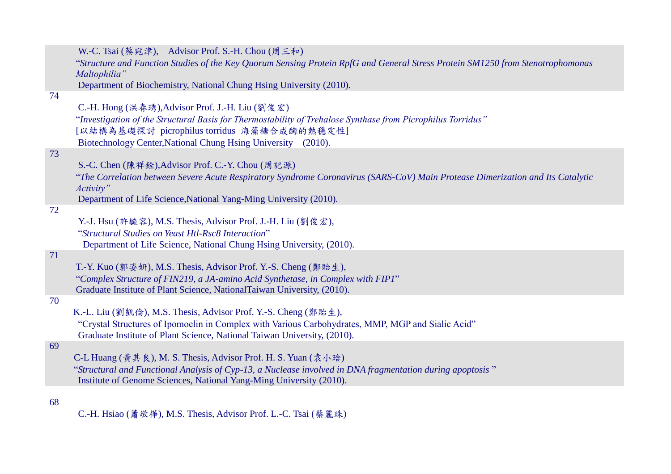|    | W.-C. Tsai (蔡宛津), Advisor Prof. S.-H. Chou (周三和)                                                                                                                                 |
|----|----------------------------------------------------------------------------------------------------------------------------------------------------------------------------------|
|    | "Structure and Function Studies of the Key Quorum Sensing Protein RpfG and General Stress Protein SM1250 from Stenotrophomonas<br>Maltophilia"                                   |
|    | Department of Biochemistry, National Chung Hsing University (2010).                                                                                                              |
| 74 |                                                                                                                                                                                  |
|    | C.-H. Hong (洪春琇), Advisor Prof. J.-H. Liu (劉俊宏)                                                                                                                                  |
|    | "Investigation of the Structural Basis for Thermostability of Trehalose Synthase from Picrophilus Torridus"                                                                      |
|    | [以結構為基礎探討 picrophilus torridus 海藻糖合成酶的熱穩定性]                                                                                                                                      |
|    | Biotechnology Center, National Chung Hsing University (2010).                                                                                                                    |
| 73 |                                                                                                                                                                                  |
|    | S.-C. Chen (陳祥銓), Advisor Prof. C.-Y. Chou (周記源)                                                                                                                                 |
|    | "The Correlation between Severe Acute Respiratory Syndrome Coronavirus (SARS-CoV) Main Protease Dimerization and Its Catalytic<br>Activity"                                      |
|    | Department of Life Science, National Yang-Ming University (2010).                                                                                                                |
| 72 |                                                                                                                                                                                  |
|    | Y.-J. Hsu (許毓容), M.S. Thesis, Advisor Prof. J.-H. Liu (劉俊宏),                                                                                                                     |
|    | "Structural Studies on Yeast Htl-Rsc8 Interaction"                                                                                                                               |
|    | Department of Life Science, National Chung Hsing University, (2010).                                                                                                             |
| 71 |                                                                                                                                                                                  |
|    | T.-Y. Kuo (郭姿妍), M.S. Thesis, Advisor Prof. Y.-S. Cheng (鄭貽生),                                                                                                                   |
|    | "Complex Structure of FIN219, a JA-amino Acid Synthetase, in Complex with FIP1"                                                                                                  |
|    | Graduate Institute of Plant Science, NationalTaiwan University, (2010).                                                                                                          |
| 70 |                                                                                                                                                                                  |
|    | K.-L. Liu (劉凱倫), M.S. Thesis, Advisor Prof. Y.-S. Cheng (鄭貽生),                                                                                                                   |
|    | "Crystal Structures of Ipomoelin in Complex with Various Carbohydrates, MMP, MGP and Sialic Acid"                                                                                |
|    | Graduate Institute of Plant Science, National Taiwan University, (2010).                                                                                                         |
| 69 | C-L Huang (黃其良), M. S. Thesis, Advisor Prof. H. S. Yuan (袁小琀)                                                                                                                    |
|    |                                                                                                                                                                                  |
|    | "Structural and Functional Analysis of Cyp-13, a Nuclease involved in DNA fragmentation during apoptosis"<br>Institute of Genome Sciences, National Yang-Ming University (2010). |
|    |                                                                                                                                                                                  |
|    |                                                                                                                                                                                  |

C.-H. Hsiao (蕭敬樺), M.S. Thesis, Advisor Prof. L.-C. Tsai (蔡麗珠)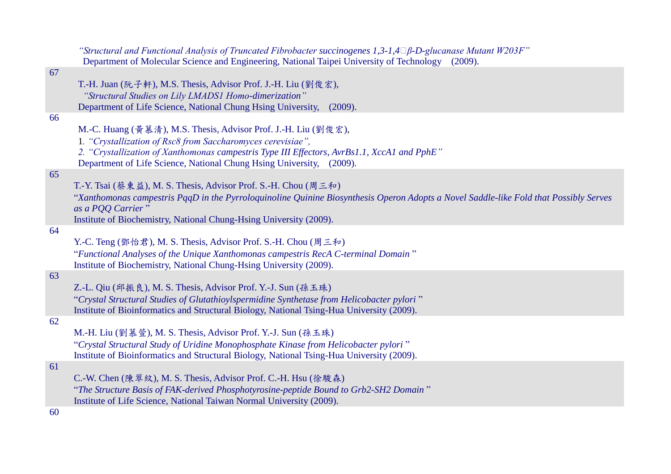|    | "Structural and Functional Analysis of Truncated Fibrobacter succinogenes 1,3-1,4 $\Box \beta$ -D-glucanase Mutant W203F"<br>Department of Molecular Science and Engineering, National Taipei University of Technology (2009).                                                                       |
|----|------------------------------------------------------------------------------------------------------------------------------------------------------------------------------------------------------------------------------------------------------------------------------------------------------|
| 67 |                                                                                                                                                                                                                                                                                                      |
|    | T.-H. Juan (阮子軒), M.S. Thesis, Advisor Prof. J.-H. Liu (劉俊宏),<br>"Structural Studies on Lily LMADS1 Homo-dimerization"                                                                                                                                                                               |
| 66 | Department of Life Science, National Chung Hsing University,<br>(2009).                                                                                                                                                                                                                              |
|    | M.-C. Huang (黄慕清), M.S. Thesis, Advisor Prof. J.-H. Liu (劉俊宏),<br>1. "Crystallization of Rsc8 from Saccharomyces cerevisiae",<br>2. "Crystallization of Xanthomonas campestris Type III Effectors, AvrBs1.1, XccA1 and PphE"<br>Department of Life Science, National Chung Hsing University, (2009). |
| 65 |                                                                                                                                                                                                                                                                                                      |
|    | T.-Y. Tsai (蔡東益), M. S. Thesis, Advisor Prof. S.-H. Chou (周三和)<br>"Xanthomonas campestris PqqD in the Pyrroloquinoline Quinine Biosynthesis Operon Adopts a Novel Saddle-like Fold that Possibly Serves<br>as a PQQ Carrier"                                                                         |
|    | Institute of Biochemistry, National Chung-Hsing University (2009).                                                                                                                                                                                                                                   |
| 64 |                                                                                                                                                                                                                                                                                                      |
|    | Y.-C. Teng (鄧怡君), M. S. Thesis, Advisor Prof. S.-H. Chou (周三和)                                                                                                                                                                                                                                       |
|    | "Functional Analyses of the Unique Xanthomonas campestris RecA C-terminal Domain"<br>Institute of Biochemistry, National Chung-Hsing University (2009).                                                                                                                                              |
| 63 |                                                                                                                                                                                                                                                                                                      |
|    | Z.-L. Qiu (邱振良), M. S. Thesis, Advisor Prof. Y.-J. Sun (孫玉珠)                                                                                                                                                                                                                                         |
|    | "Crystal Structural Studies of Glutathioylspermidine Synthetase from Helicobacter pylori"<br>Institute of Bioinformatics and Structural Biology, National Tsing-Hua University (2009).                                                                                                               |
| 62 |                                                                                                                                                                                                                                                                                                      |
|    | M.-H. Liu (劉慕萱), M. S. Thesis, Advisor Prof. Y.-J. Sun (孫玉珠)                                                                                                                                                                                                                                         |
|    | "Crystal Structural Study of Uridine Monophosphate Kinase from Helicobacter pylori"<br>Institute of Bioinformatics and Structural Biology, National Tsing-Hua University (2009).                                                                                                                     |
| 61 |                                                                                                                                                                                                                                                                                                      |
|    | C.-W. Chen (陳翠紋), M. S. Thesis, Advisor Prof. C.-H. Hsu (徐駿森)                                                                                                                                                                                                                                        |
|    | "The Structure Basis of FAK-derived Phosphotyrosine-peptide Bound to Grb2-SH2 Domain"<br>Institute of Life Science, National Taiwan Normal University (2009).                                                                                                                                        |
|    |                                                                                                                                                                                                                                                                                                      |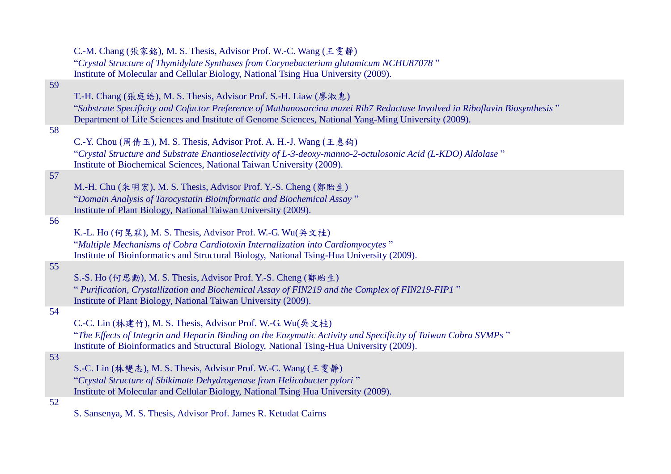|    | C.-M. Chang (張家銘), M. S. Thesis, Advisor Prof. W.-C. Wang (王雯静)                                                                     |
|----|-------------------------------------------------------------------------------------------------------------------------------------|
|    | "Crystal Structure of Thymidylate Synthases from Corynebacterium glutamicum NCHU87078"                                              |
|    | Institute of Molecular and Cellular Biology, National Tsing Hua University (2009).                                                  |
| 59 |                                                                                                                                     |
|    | T.-H. Chang (張庭皓), M. S. Thesis, Advisor Prof. S.-H. Liaw (廖淑惠)                                                                     |
|    |                                                                                                                                     |
|    | "Substrate Specificity and Cofactor Preference of Mathanosarcina mazei Rib7 Reductase Involved in Riboflavin Biosynthesis"          |
|    | Department of Life Sciences and Institute of Genome Sciences, National Yang-Ming University (2009).                                 |
| 58 |                                                                                                                                     |
|    | C.-Y. Chou (周倩玉), M. S. Thesis, Advisor Prof. A. H.-J. Wang (王惠鈞)                                                                   |
|    | "Crystal Structure and Substrate Enantioselectivity of L-3-deoxy-manno-2-octulosonic Acid (L-KDO) Aldolase"                         |
|    | Institute of Biochemical Sciences, National Taiwan University (2009).                                                               |
| 57 |                                                                                                                                     |
|    | M.-H. Chu (朱明宏), M. S. Thesis, Advisor Prof. Y.-S. Cheng (鄭貽生)                                                                      |
|    | "Domain Analysis of Tarocystatin Bioimformatic and Biochemical Assay"                                                               |
|    | Institute of Plant Biology, National Taiwan University (2009).                                                                      |
| 56 |                                                                                                                                     |
|    | K.-L. Ho (何昆霖), M. S. Thesis, Advisor Prof. W.-G. Wu(吳文桂)                                                                           |
|    |                                                                                                                                     |
|    | "Multiple Mechanisms of Cobra Cardiotoxin Internalization into Cardiomyocytes"                                                      |
|    | Institute of Bioinformatics and Structural Biology, National Tsing-Hua University (2009).                                           |
| 55 |                                                                                                                                     |
|    | S.-S. Ho (何思勳), M. S. Thesis, Advisor Prof. Y.-S. Cheng (鄭貽生)                                                                       |
|    | " Purification, Crystallization and Biochemical Assay of FIN219 and the Complex of FIN219-FIP1"                                     |
|    | Institute of Plant Biology, National Taiwan University (2009).                                                                      |
| 54 |                                                                                                                                     |
|    | C.-C. Lin (林建竹), M. S. Thesis, Advisor Prof. W.-G. Wu(吳文桂)                                                                          |
|    | "The Effects of Integrin and Heparin Binding on the Enzymatic Activity and Specificity of Taiwan Cobra SVMPs"                       |
|    | Institute of Bioinformatics and Structural Biology, National Tsing-Hua University (2009).                                           |
| 53 |                                                                                                                                     |
|    | S.-C. Lin (林雙志), M. S. Thesis, Advisor Prof. W.-C. Wang (王雯静)                                                                       |
|    |                                                                                                                                     |
|    | "Crystal Structure of Shikimate Dehydrogenase from Helicobacter pylori"                                                             |
|    | Institute of Molecular and Cellular Biology, National Tsing Hua University (2009).                                                  |
| 52 | $\mathbf{a} \cdot \mathbf{a}$ and $\mathbf{a} \cdot \mathbf{a}$ and $\mathbf{a} \cdot \mathbf{a}$ and $\mathbf{a} \cdot \mathbf{a}$ |
|    |                                                                                                                                     |

S. Sansenya, M. S. Thesis, Advisor Prof. James R. Ketudat Cairns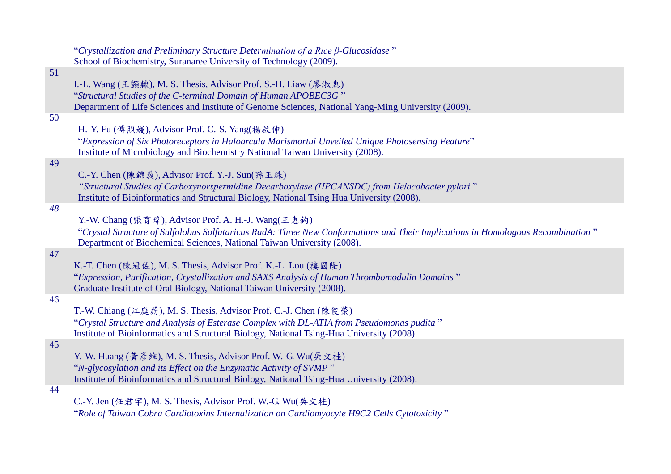|    | "Crystallization and Preliminary Structure Determination of a Rice $\beta$ -Glucosidase"                                        |
|----|---------------------------------------------------------------------------------------------------------------------------------|
|    | School of Biochemistry, Suranaree University of Technology (2009).                                                              |
| 51 |                                                                                                                                 |
|    | I.-L. Wang (王顗隸), M. S. Thesis, Advisor Prof. S.-H. Liaw (廖淑惠)                                                                  |
|    | "Structural Studies of the C-terminal Domain of Human APOBEC3G"                                                                 |
|    | Department of Life Sciences and Institute of Genome Sciences, National Yang-Ming University (2009).                             |
| 50 |                                                                                                                                 |
|    | H.-Y. Fu (傅煦媛), Advisor Prof. C.-S. Yang(楊啟伸)                                                                                   |
|    | "Expression of Six Photoreceptors in Haloarcula Marismortui Unveiled Unique Photosensing Feature"                               |
|    | Institute of Microbiology and Biochemistry National Taiwan University (2008).                                                   |
| 49 |                                                                                                                                 |
|    | C.-Y. Chen (陳錦義), Advisor Prof. Y.-J. Sun(孫玉珠)                                                                                  |
|    | "Structural Studies of Carboxynorspermidine Decarboxylase (HPCANSDC) from Helocobacter pylori"                                  |
|    | Institute of Bioinformatics and Structural Biology, National Tsing Hua University (2008).                                       |
| 48 |                                                                                                                                 |
|    | Y.-W. Chang (張育瑋), Advisor Prof. A. H.-J. Wang(王惠鈞)                                                                             |
|    | "Crystal Structure of Sulfolobus Solfataricus RadA: Three New Conformations and Their Implications in Homologous Recombination" |
|    | Department of Biochemical Sciences, National Taiwan University (2008).                                                          |
| 47 |                                                                                                                                 |
|    | K.-T. Chen (陳冠佐), M. S. Thesis, Advisor Prof. K.-L. Lou (樓國隆)                                                                   |
|    | "Expression, Purification, Crystallization and SAXS Analysis of Human Thrombomodulin Domains"                                   |
|    | Graduate Institute of Oral Biology, National Taiwan University (2008).                                                          |
| 46 |                                                                                                                                 |
|    | T.-W. Chiang (江庭蔚), M. S. Thesis, Advisor Prof. C.-J. Chen (陳俊榮)                                                                |
|    | "Crystal Structure and Analysis of Esterase Complex with DL-ATIA from Pseudomonas pudita"                                       |
|    | Institute of Bioinformatics and Structural Biology, National Tsing-Hua University (2008).                                       |
| 45 |                                                                                                                                 |
|    | Y.-W. Huang (黄彦維), M. S. Thesis, Advisor Prof. W.-G. Wu(吳文桂)                                                                    |
|    | "N-glycosylation and its Effect on the Enzymatic Activity of SVMP"                                                              |
|    | Institute of Bioinformatics and Structural Biology, National Tsing-Hua University (2008).                                       |
| 44 |                                                                                                                                 |
|    | C.-Y. Jen (任君宇), M. S. Thesis, Advisor Prof. W.-G. Wu(吳文桂)                                                                      |
|    | "Role of Taiwan Cobra Cardiotoxins Internalization on Cardiomyocyte H9C2 Cells Cytotoxicity"                                    |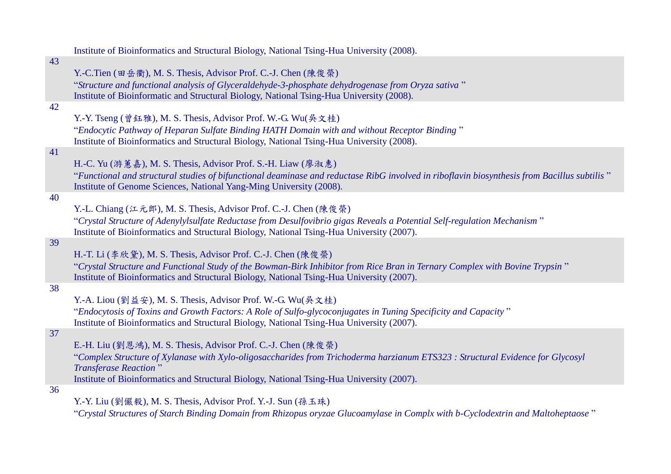|    | Institute of Bioinformatics and Structural Biology, National Tsing-Hua University (2008).                                                   |
|----|---------------------------------------------------------------------------------------------------------------------------------------------|
| 43 |                                                                                                                                             |
|    | Y.-C.Tien (田岳衢), M. S. Thesis, Advisor Prof. C.-J. Chen (陳俊榮)                                                                               |
|    | "Structure and functional analysis of Glyceraldehyde-3-phosphate dehydrogenase from Oryza sativa"                                           |
|    | Institute of Bioinformatic and Structural Biology, National Tsing-Hua University (2008).                                                    |
| 42 |                                                                                                                                             |
|    | Y.-Y. Tseng (曾鈺雅), M. S. Thesis, Advisor Prof. W.-G. Wu(吳文桂)                                                                                |
|    | "Endocytic Pathway of Heparan Sulfate Binding HATH Domain with and without Receptor Binding"                                                |
|    | Institute of Bioinformatics and Structural Biology, National Tsing-Hua University (2008).                                                   |
| 41 |                                                                                                                                             |
|    | H.-C. Yu (游蕙嘉), M. S. Thesis, Advisor Prof. S.-H. Liaw (廖淑惠)                                                                                |
|    | "Functional and structural studies of bifunctional deaminase and reductase RibG involved in riboflavin biosynthesis from Bacillus subtilis" |
|    | Institute of Genome Sciences, National Yang-Ming University (2008).                                                                         |
| 40 |                                                                                                                                             |
|    | Y.-L. Chiang (江元郎), M. S. Thesis, Advisor Prof. C.-J. Chen (陳俊榮)                                                                            |
|    | "Crystal Structure of Adenylylsulfate Reductase from Desulfovibrio gigas Reveals a Potential Self-regulation Mechanism"                     |
|    | Institute of Bioinformatics and Structural Biology, National Tsing-Hua University (2007).                                                   |
| 39 |                                                                                                                                             |
|    | H.-T. Li (李欣黛), M. S. Thesis, Advisor Prof. C.-J. Chen (陳俊榮)                                                                                |
|    | "Crystal Structure and Functional Study of the Bowman-Birk Inhibitor from Rice Bran in Ternary Complex with Bovine Trypsin"                 |
| 38 | Institute of Bioinformatics and Structural Biology, National Tsing-Hua University (2007).                                                   |
|    | Y.-A. Liou (劉益安), M. S. Thesis, Advisor Prof. W.-G. Wu(吳文桂)                                                                                 |
|    | "Endocytosis of Toxins and Growth Factors: A Role of Sulfo-glycoconjugates in Tuning Specificity and Capacity"                              |
|    | Institute of Bioinformatics and Structural Biology, National Tsing-Hua University (2007).                                                   |
| 37 |                                                                                                                                             |
|    | E.-H. Liu (劉恩鴻), M. S. Thesis, Advisor Prof. C.-J. Chen (陳俊榮)                                                                               |
|    | "Complex Structure of Xylanase with Xylo-oligosaccharides from Trichoderma harzianum ETS323: Structural Evidence for Glycosyl               |
|    | <b>Transferase Reaction</b> "                                                                                                               |
|    | Institute of Bioinformatics and Structural Biology, National Tsing-Hua University (2007).                                                   |
| 36 |                                                                                                                                             |
|    | Y.-Y. Liu (劉儼毅), M. S. Thesis, Advisor Prof. Y.-J. Sun (孫玉珠)                                                                                |
|    |                                                                                                                                             |

"*Crystal Structures of Starch Binding Domain from Rhizopus oryzae Glucoamylase in Complx with b-Cyclodextrin and Maltoheptaose* "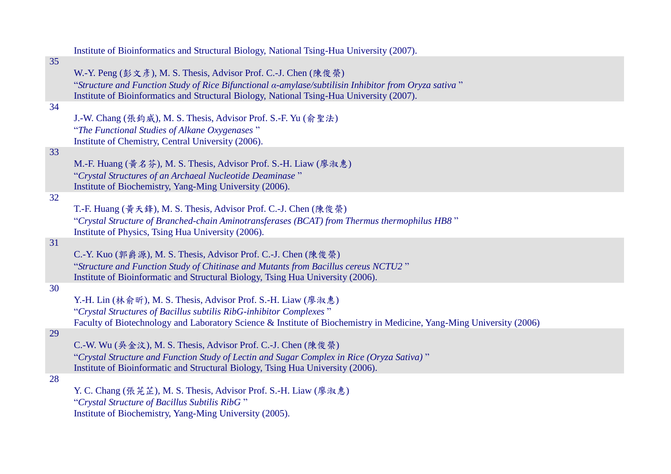|    | Institute of Bioinformatics and Structural Biology, National Tsing-Hua University (2007).                            |
|----|----------------------------------------------------------------------------------------------------------------------|
| 35 |                                                                                                                      |
|    | W.-Y. Peng (彭文彥), M. S. Thesis, Advisor Prof. C.-J. Chen (陳俊榮)                                                       |
|    | "Structure and Function Study of Rice Bifunctional a-amylase/subtilisin Inhibitor from Oryza sativa"                 |
|    | Institute of Bioinformatics and Structural Biology, National Tsing-Hua University (2007).                            |
| 34 |                                                                                                                      |
|    | J.-W. Chang (張鈞威), M. S. Thesis, Advisor Prof. S.-F. Yu (俞聖法)                                                        |
|    | "The Functional Studies of Alkane Oxygenases"                                                                        |
| 33 | Institute of Chemistry, Central University (2006).                                                                   |
|    | M.-F. Huang (黄名芬), M. S. Thesis, Advisor Prof. S.-H. Liaw (廖淑惠)                                                      |
|    | "Crystal Structures of an Archaeal Nucleotide Deaminase"                                                             |
|    | Institute of Biochemistry, Yang-Ming University (2006).                                                              |
| 32 |                                                                                                                      |
|    | T.-F. Huang (黃天鋒), M. S. Thesis, Advisor Prof. C.-J. Chen (陳俊榮)                                                      |
|    | "Crystal Structure of Branched-chain Aminotransferases (BCAT) from Thermus thermophilus HB8"                         |
|    | Institute of Physics, Tsing Hua University (2006).                                                                   |
| 31 |                                                                                                                      |
|    | C.-Y. Kuo (郭爵源), M. S. Thesis, Advisor Prof. C.-J. Chen (陳俊榮)                                                        |
|    | "Structure and Function Study of Chitinase and Mutants from Bacillus cereus NCTU2"                                   |
|    | Institute of Bioinformatic and Structural Biology, Tsing Hua University (2006).                                      |
| 30 |                                                                                                                      |
|    | Y.-H. Lin (林俞昕), M. S. Thesis, Advisor Prof. S.-H. Liaw (廖淑惠)                                                        |
|    | "Crystal Structures of Bacillus subtilis RibG-inhibitor Complexes"                                                   |
|    | Faculty of Biotechnology and Laboratory Science & Institute of Biochemistry in Medicine, Yang-Ming University (2006) |
| 29 | C.-W. Wu (吳金汶), M. S. Thesis, Advisor Prof. C.-J. Chen (陳俊榮)                                                         |
|    | "Crystal Structure and Function Study of Lectin and Sugar Complex in Rice (Oryza Sativa)"                            |
|    | Institute of Bioinformatic and Structural Biology, Tsing Hua University (2006).                                      |
| 28 |                                                                                                                      |
|    | Y. C. Chang (張芫芷), M. S. Thesis, Advisor Prof. S.-H. Liaw (廖淑惠)                                                      |
|    | "Crystal Structure of Bacillus Subtilis RibG"                                                                        |
|    | Institute of Biochemistry, Yang-Ming University (2005).                                                              |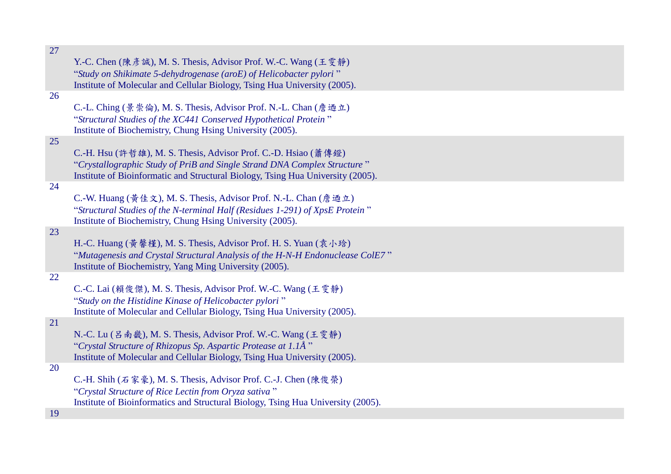| 27 |                                                                                                                                                             |
|----|-------------------------------------------------------------------------------------------------------------------------------------------------------------|
|    | Y.-C. Chen (陳彥誠), M. S. Thesis, Advisor Prof. W.-C. Wang (王雯靜)                                                                                              |
|    | "Study on Shikimate 5-dehydrogenase (aroE) of Helicobacter pylori"                                                                                          |
|    | Institute of Molecular and Cellular Biology, Tsing Hua University (2005).                                                                                   |
| 26 |                                                                                                                                                             |
|    | C.-L. Ching (景崇倫), M. S. Thesis, Advisor Prof. N.-L. Chan (詹迺立)                                                                                             |
|    | "Structural Studies of the XC441 Conserved Hypothetical Protein"                                                                                            |
|    | Institute of Biochemistry, Chung Hsing University (2005).                                                                                                   |
| 25 |                                                                                                                                                             |
|    | C.-H. Hsu (許哲雄), M. S. Thesis, Advisor Prof. C.-D. Hsiao (蕭傳鐙)                                                                                              |
|    | "Crystallographic Study of PriB and Single Strand DNA Complex Structure"<br>Institute of Bioinformatic and Structural Biology, Tsing Hua University (2005). |
| 24 |                                                                                                                                                             |
|    | C.-W. Huang (黃佳文), M. S. Thesis, Advisor Prof. N.-L. Chan (詹迺立)                                                                                             |
|    | "Structural Studies of the N-terminal Half (Residues 1-291) of XpsE Protein"                                                                                |
|    | Institute of Biochemistry, Chung Hsing University (2005).                                                                                                   |
| 23 |                                                                                                                                                             |
|    | H.-C. Huang (黄馨槿), M. S. Thesis, Advisor Prof. H. S. Yuan (袁小琀)                                                                                             |
|    | "Mutagenesis and Crystal Structural Analysis of the H-N-H Endonuclease ColE7"                                                                               |
|    | Institute of Biochemistry, Yang Ming University (2005).                                                                                                     |
| 22 |                                                                                                                                                             |
|    | C.-C. Lai (賴俊傑), M. S. Thesis, Advisor Prof. W.-C. Wang (王雯靜)                                                                                               |
|    | "Study on the Histidine Kinase of Helicobacter pylori"<br>Institute of Molecular and Cellular Biology, Tsing Hua University (2005).                         |
| 21 |                                                                                                                                                             |
|    | N.-C. Lu (吕南畿), M. S. Thesis, Advisor Prof. W.-C. Wang (王雯静)                                                                                                |
|    | "Crystal Structure of Rhizopus Sp. Aspartic Protease at 1.1Å"                                                                                               |
|    | Institute of Molecular and Cellular Biology, Tsing Hua University (2005).                                                                                   |
| 20 |                                                                                                                                                             |
|    | C.-H. Shih (石家豪), M. S. Thesis, Advisor Prof. C.-J. Chen (陳俊榮)                                                                                              |
|    | "Crystal Structure of Rice Lectin from Oryza sativa"                                                                                                        |
|    | Institute of Bioinformatics and Structural Biology, Tsing Hua University (2005).                                                                            |
| 19 |                                                                                                                                                             |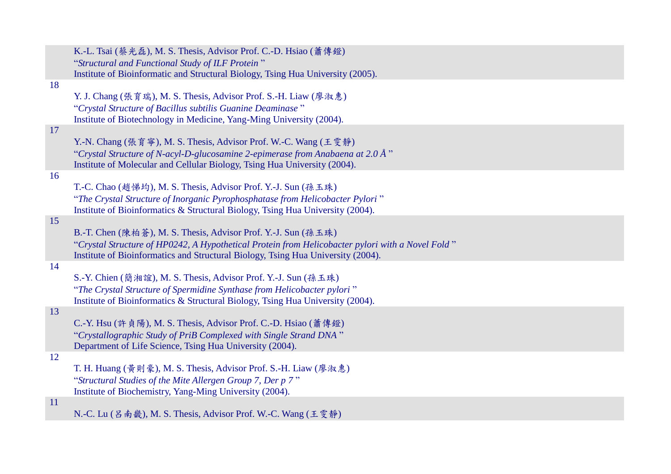|    | K.-L. Tsai (蔡光磊), M. S. Thesis, Advisor Prof. C.-D. Hsiao (蕭傳鐙)                                  |
|----|--------------------------------------------------------------------------------------------------|
|    | "Structural and Functional Study of ILF Protein"                                                 |
|    | Institute of Bioinformatic and Structural Biology, Tsing Hua University (2005).                  |
| 18 |                                                                                                  |
|    | Y. J. Chang (張育瑞), M. S. Thesis, Advisor Prof. S.-H. Liaw (廖淑惠)                                  |
|    | "Crystal Structure of Bacillus subtilis Guanine Deaminase"                                       |
|    | Institute of Biotechnology in Medicine, Yang-Ming University (2004).                             |
| 17 |                                                                                                  |
|    | Y.-N. Chang (張育寧), M. S. Thesis, Advisor Prof. W.-C. Wang (王雯静)                                  |
|    | "Crystal Structure of N-acyl-D-glucosamine 2-epimerase from Anabaena at 2.0 Å $"$                |
|    | Institute of Molecular and Cellular Biology, Tsing Hua University (2004).                        |
| 16 |                                                                                                  |
|    | T.-C. Chao (趙悌均), M. S. Thesis, Advisor Prof. Y.-J. Sun (孫玉珠)                                    |
|    | "The Crystal Structure of Inorganic Pyrophosphatase from Helicobacter Pylori"                    |
|    | Institute of Bioinformatics & Structural Biology, Tsing Hua University (2004).                   |
| 15 |                                                                                                  |
|    | B.-T. Chen (陳柏蒼), M. S. Thesis, Advisor Prof. Y.-J. Sun (孫玉珠)                                    |
|    | "Crystal Structure of HP0242, A Hypothetical Protein from Helicobacter pylori with a Novel Fold" |
|    | Institute of Bioinformatics and Structural Biology, Tsing Hua University (2004).                 |
| 14 |                                                                                                  |
|    | S.-Y. Chien (簡湘誼), M. S. Thesis, Advisor Prof. Y.-J. Sun (孫玉珠)                                   |
|    | "The Crystal Structure of Spermidine Synthase from Helicobacter pylori"                          |
|    | Institute of Bioinformatics & Structural Biology, Tsing Hua University (2004).                   |
| 13 |                                                                                                  |
|    | C.-Y. Hsu (許貞陽), M. S. Thesis, Advisor Prof. C.-D. Hsiao (蕭傳鐙)                                   |
|    | "Crystallographic Study of PriB Complexed with Single Strand DNA"                                |
|    | Department of Life Science, Tsing Hua University (2004).                                         |
| 12 |                                                                                                  |
|    | T. H. Huang (黃則豪), M. S. Thesis, Advisor Prof. S.-H. Liaw (廖淑惠)                                  |
|    | "Structural Studies of the Mite Allergen Group 7, Der p 7"                                       |
|    | Institute of Biochemistry, Yang-Ming University (2004).                                          |
| 11 |                                                                                                  |
|    | N.-C. Lu (吕南畿), M. S. Thesis, Advisor Prof. W.-C. Wang (王雯静)                                     |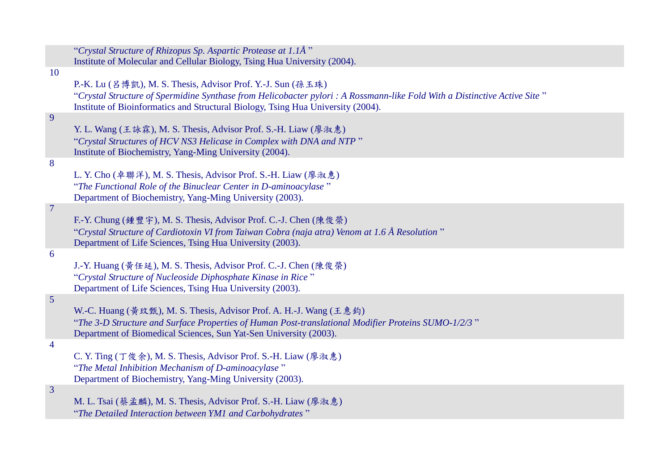|                 | "Crystal Structure of Rhizopus Sp. Aspartic Protease at 1.1Å"                                                                                                                                                                                                                |
|-----------------|------------------------------------------------------------------------------------------------------------------------------------------------------------------------------------------------------------------------------------------------------------------------------|
|                 | Institute of Molecular and Cellular Biology, Tsing Hua University (2004).                                                                                                                                                                                                    |
| <b>10</b>       | P.-K. Lu (吕博凱), M. S. Thesis, Advisor Prof. Y.-J. Sun (孫玉珠)<br>"Crystal Structure of Spermidine Synthase from Helicobacter pylori : A Rossmann-like Fold With a Distinctive Active Site"<br>Institute of Bioinformatics and Structural Biology, Tsing Hua University (2004). |
| 9               | Y. L. Wang (王詠霖), M. S. Thesis, Advisor Prof. S.-H. Liaw (廖淑惠)<br>"Crystal Structures of HCV NS3 Helicase in Complex with DNA and NTP"<br>Institute of Biochemistry, Yang-Ming University (2004).                                                                            |
| 8               | L. Y. Cho (卓聯洋), M. S. Thesis, Advisor Prof. S.-H. Liaw (廖淑惠)<br>"The Functional Role of the Binuclear Center in D-aminoacylase"<br>Department of Biochemistry, Yang-Ming University (2003).                                                                                 |
| $7\phantom{.0}$ | F.-Y. Chung (鍾豐宇), M. S. Thesis, Advisor Prof. C.-J. Chen (陳俊榮)<br>"Crystal Structure of Cardiotoxin VI from Taiwan Cobra (naja atra) Venom at 1.6 Å Resolution"<br>Department of Life Sciences, Tsing Hua University (2003).                                                |
| 6               | J.-Y. Huang (黃任延), M. S. Thesis, Advisor Prof. C.-J. Chen (陳俊榮)<br>"Crystal Structure of Nucleoside Diphosphate Kinase in Rice"<br>Department of Life Sciences, Tsing Hua University (2003).                                                                                 |
| 5               | W.-C. Huang (黃玟甄), M. S. Thesis, Advisor Prof. A. H.-J. Wang (王惠鈞)<br>"The 3-D Structure and Surface Properties of Human Post-translational Modifier Proteins SUMO-1/2/3"<br>Department of Biomedical Sciences, Sun Yat-Sen University (2003).                               |
| $\overline{4}$  | C. Y. Ting (丁俊余), M. S. Thesis, Advisor Prof. S.-H. Liaw (廖淑惠)<br>"The Metal Inhibition Mechanism of D-aminoacylase"<br>Department of Biochemistry, Yang-Ming University (2003).                                                                                             |
| $\overline{3}$  | M. L. Tsai (蔡孟麟), M. S. Thesis, Advisor Prof. S.-H. Liaw (廖淑惠)<br>"The Detailed Interaction between YM1 and Carbohydrates"                                                                                                                                                   |